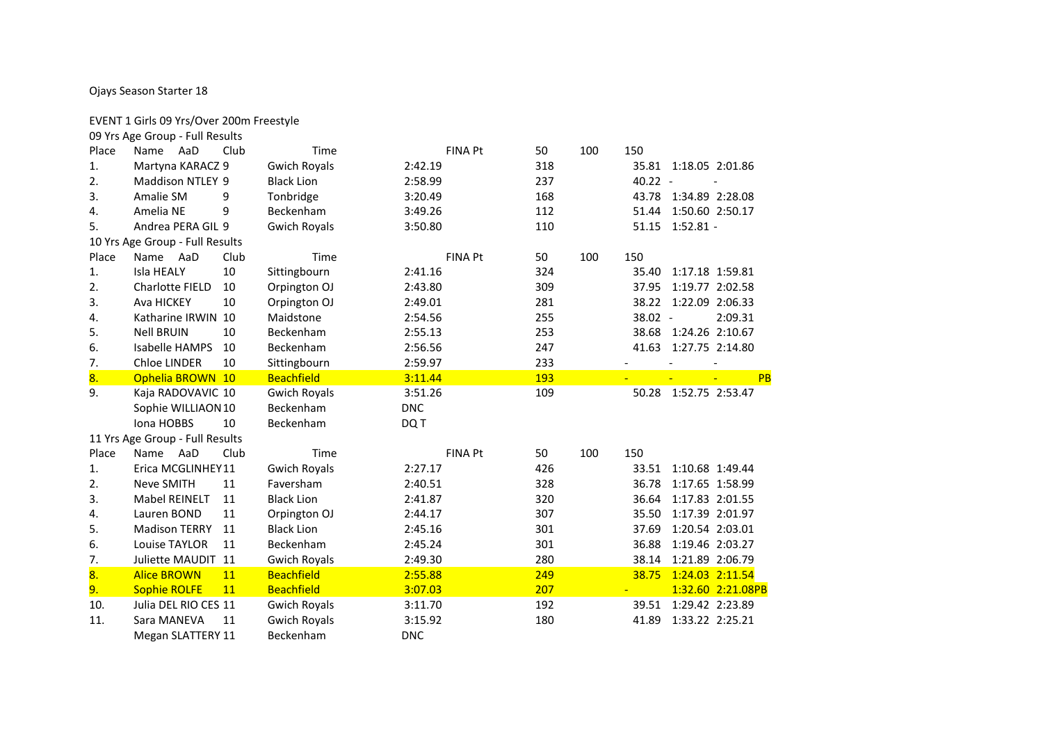## Ojays Season Starter 18

## EVENT 1 Girls 09 Yrs/Over 200m Freestyle

|                | 09 Yrs Age Group - Full Results |      |                     |            |                |     |     |           |                       |                   |
|----------------|---------------------------------|------|---------------------|------------|----------------|-----|-----|-----------|-----------------------|-------------------|
| Place          | Name AaD                        | Club | Time                |            | <b>FINA Pt</b> | 50  | 100 | 150       |                       |                   |
| 1.             | Martyna KARACZ 9                |      | <b>Gwich Royals</b> | 2:42.19    |                | 318 |     |           | 35.81 1:18.05 2:01.86 |                   |
| 2.             | Maddison NTLEY 9                |      | <b>Black Lion</b>   | 2:58.99    |                | 237 |     | $40.22 -$ |                       |                   |
| 3.             | Amalie SM                       | 9    | Tonbridge           | 3:20.49    |                | 168 |     |           | 43.78 1:34.89 2:28.08 |                   |
| 4.             | Amelia NE                       | 9    | Beckenham           | 3:49.26    |                | 112 |     | 51.44     | 1:50.60 2:50.17       |                   |
| 5.             | Andrea PERA GIL 9               |      | <b>Gwich Royals</b> | 3:50.80    |                | 110 |     |           | 51.15 1:52.81 -       |                   |
|                | 10 Yrs Age Group - Full Results |      |                     |            |                |     |     |           |                       |                   |
| Place          | Name AaD                        | Club | Time                |            | <b>FINA Pt</b> | 50  | 100 | 150       |                       |                   |
| $\mathbf{1}$ . | <b>Isla HEALY</b>               | 10   | Sittingbourn        | 2:41.16    |                | 324 |     | 35.40     | 1:17.18 1:59.81       |                   |
| 2.             | <b>Charlotte FIELD</b>          | 10   | Orpington OJ        | 2:43.80    |                | 309 |     | 37.95     | 1:19.77 2:02.58       |                   |
| 3.             | Ava HICKEY                      | 10   | Orpington OJ        | 2:49.01    |                | 281 |     | 38.22     | 1:22.09 2:06.33       |                   |
| 4.             | Katharine IRWIN 10              |      | Maidstone           | 2:54.56    |                | 255 |     | 38.02 -   |                       | 2:09.31           |
| 5.             | <b>Nell BRUIN</b>               | 10   | Beckenham           | 2:55.13    |                | 253 |     | 38.68     | 1:24.26 2:10.67       |                   |
| 6.             | <b>Isabelle HAMPS</b>           | 10   | Beckenham           | 2:56.56    |                | 247 |     | 41.63     | 1:27.75 2:14.80       |                   |
| 7.             | Chloe LINDER                    | 10   | Sittingbourn        | 2:59.97    |                | 233 |     |           |                       |                   |
| 8.             | Ophelia BROWN 10                |      | <b>Beachfield</b>   | 3:11.44    |                | 193 |     |           |                       | PB                |
| 9.             | Kaja RADOVAVIC 10               |      | <b>Gwich Royals</b> | 3:51.26    |                | 109 |     | 50.28     | 1:52.75 2:53.47       |                   |
|                | Sophie WILLIAON 10              |      | Beckenham           | <b>DNC</b> |                |     |     |           |                       |                   |
|                | Iona HOBBS                      | 10   | Beckenham           | DQ T       |                |     |     |           |                       |                   |
|                | 11 Yrs Age Group - Full Results |      |                     |            |                |     |     |           |                       |                   |
| Place          | Name AaD                        | Club | Time                |            | FINA Pt        | 50  | 100 | 150       |                       |                   |
| 1.             | Erica MCGLINHEY11               |      | <b>Gwich Royals</b> | 2:27.17    |                | 426 |     | 33.51     | 1:10.68 1:49.44       |                   |
| 2.             | Neve SMITH                      | 11   | Faversham           | 2:40.51    |                | 328 |     | 36.78     | 1:17.65 1:58.99       |                   |
| 3.             | <b>Mabel REINELT</b>            | 11   | <b>Black Lion</b>   | 2:41.87    |                | 320 |     | 36.64     | 1:17.83 2:01.55       |                   |
| 4.             | Lauren BOND                     | 11   | Orpington OJ        | 2:44.17    |                | 307 |     | 35.50     | 1:17.39 2:01.97       |                   |
| 5.             | <b>Madison TERRY</b>            | 11   | <b>Black Lion</b>   | 2:45.16    |                | 301 |     | 37.69     | 1:20.54 2:03.01       |                   |
| 6.             | Louise TAYLOR                   | 11   | Beckenham           | 2:45.24    |                | 301 |     | 36.88     | 1:19.46 2:03.27       |                   |
| 7.             | Juliette MAUDIT 11              |      | <b>Gwich Royals</b> | 2:49.30    |                | 280 |     | 38.14     | 1:21.89 2:06.79       |                   |
| 8.             | <b>Alice BROWN</b>              | 11   | <b>Beachfield</b>   | 2:55.88    |                | 249 |     | 38.75     | 1:24.03 2:11.54       |                   |
| 9.             | <b>Sophie ROLFE</b>             | 11   | <b>Beachfield</b>   | 3:07.03    |                | 207 |     |           |                       | 1:32.60 2:21.08PB |
| 10.            | Julia DEL RIO CES 11            |      | <b>Gwich Royals</b> | 3:11.70    |                | 192 |     | 39.51     | 1:29.42 2:23.89       |                   |
|                |                                 |      |                     |            |                |     |     |           |                       |                   |
| 11.            | Sara MANEVA                     | 11   | <b>Gwich Royals</b> | 3:15.92    |                | 180 |     | 41.89     | 1:33.22 2:25.21       |                   |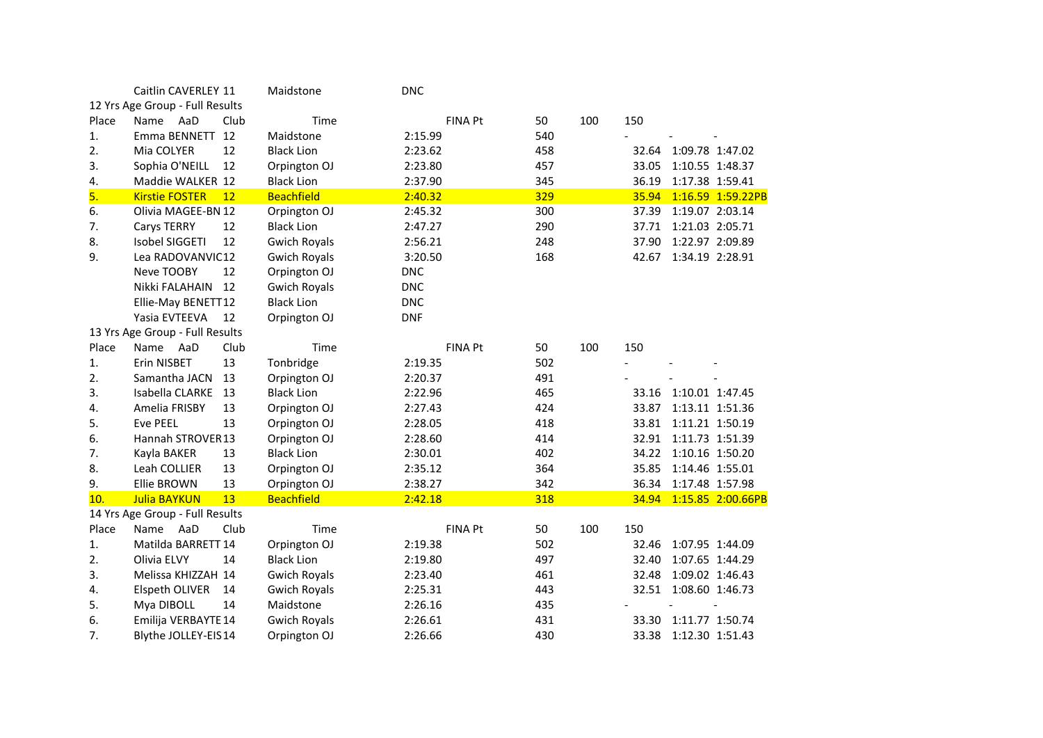|       | Caitlin CAVERLEY 11             |      | Maidstone           | <b>DNC</b> |                |            |     |       |                 |                   |
|-------|---------------------------------|------|---------------------|------------|----------------|------------|-----|-------|-----------------|-------------------|
|       | 12 Yrs Age Group - Full Results |      |                     |            |                |            |     |       |                 |                   |
| Place | AaD<br>Name                     | Club | Time                |            | FINA Pt        | 50         | 100 | 150   |                 |                   |
| 1.    | Emma BENNETT                    | 12   | Maidstone           | 2:15.99    |                | 540        |     |       |                 |                   |
| 2.    | Mia COLYER                      | 12   | <b>Black Lion</b>   | 2:23.62    |                | 458        |     | 32.64 | 1:09.78 1:47.02 |                   |
| 3.    | Sophia O'NEILL                  | 12   | Orpington OJ        | 2:23.80    |                | 457        |     | 33.05 | 1:10.55 1:48.37 |                   |
| 4.    | Maddie WALKER 12                |      | <b>Black Lion</b>   | 2:37.90    |                | 345        |     | 36.19 | 1:17.38 1:59.41 |                   |
| 5.    | <b>Kirstie FOSTER</b>           | 12   | <b>Beachfield</b>   | 2:40.32    |                | 329        |     | 35.94 |                 | 1:16.59 1:59.22PB |
| 6.    | Olivia MAGEE-BN 12              |      | Orpington OJ        | 2:45.32    |                | 300        |     | 37.39 | 1:19.07 2:03.14 |                   |
| 7.    | Carys TERRY                     | 12   | <b>Black Lion</b>   | 2:47.27    |                | 290        |     | 37.71 | 1:21.03 2:05.71 |                   |
| 8.    | Isobel SIGGETI                  | 12   | <b>Gwich Royals</b> | 2:56.21    |                | 248        |     | 37.90 | 1:22.97 2:09.89 |                   |
| 9.    | Lea RADOVANVIC12                |      | <b>Gwich Royals</b> | 3:20.50    |                | 168        |     | 42.67 | 1:34.19 2:28.91 |                   |
|       | Neve TOOBY                      | 12   | Orpington OJ        | <b>DNC</b> |                |            |     |       |                 |                   |
|       | Nikki FALAHAIN                  | 12   | <b>Gwich Royals</b> | <b>DNC</b> |                |            |     |       |                 |                   |
|       | Ellie-May BENETT12              |      | <b>Black Lion</b>   | <b>DNC</b> |                |            |     |       |                 |                   |
|       | Yasia EVTEEVA                   | 12   | Orpington OJ        | <b>DNF</b> |                |            |     |       |                 |                   |
|       | 13 Yrs Age Group - Full Results |      |                     |            |                |            |     |       |                 |                   |
| Place | Name AaD                        | Club | Time                |            | <b>FINA Pt</b> | 50         | 100 | 150   |                 |                   |
| 1.    | Erin NISBET                     | 13   | Tonbridge           | 2:19.35    |                | 502        |     |       |                 |                   |
| 2.    | Samantha JACN                   | 13   | Orpington OJ        | 2:20.37    |                | 491        |     |       |                 |                   |
| 3.    | Isabella CLARKE                 | 13   | <b>Black Lion</b>   | 2:22.96    |                | 465        |     | 33.16 | 1:10.01 1:47.45 |                   |
| 4.    | Amelia FRISBY                   | 13   | Orpington OJ        | 2:27.43    |                | 424        |     | 33.87 | 1:13.11 1:51.36 |                   |
| 5.    | Eve PEEL                        | 13   | Orpington OJ        | 2:28.05    |                | 418        |     | 33.81 | 1:11.21 1:50.19 |                   |
| 6.    | Hannah STROVER13                |      | Orpington OJ        | 2:28.60    |                | 414        |     | 32.91 | 1:11.73 1:51.39 |                   |
| 7.    | Kayla BAKER                     | 13   | <b>Black Lion</b>   | 2:30.01    |                | 402        |     | 34.22 | 1:10.16 1:50.20 |                   |
| 8.    | Leah COLLIER                    | 13   | Orpington OJ        | 2:35.12    |                | 364        |     | 35.85 | 1:14.46 1:55.01 |                   |
| 9.    | Ellie BROWN                     | 13   | Orpington OJ        | 2:38.27    |                | 342        |     | 36.34 | 1:17.48 1:57.98 |                   |
| 10.   | <b>Julia BAYKUN</b>             | 13   | <b>Beachfield</b>   | 2:42.18    |                | <b>318</b> |     | 34.94 |                 | 1:15.85 2:00.66PB |
|       | 14 Yrs Age Group - Full Results |      |                     |            |                |            |     |       |                 |                   |
| Place | AaD<br>Name                     | Club | Time                |            | <b>FINA Pt</b> | 50         | 100 | 150   |                 |                   |
| 1.    | Matilda BARRETT 14              |      | Orpington OJ        | 2:19.38    |                | 502        |     | 32.46 | 1:07.95 1:44.09 |                   |
| 2.    | Olivia ELVY                     | 14   | <b>Black Lion</b>   | 2:19.80    |                | 497        |     | 32.40 | 1:07.65 1:44.29 |                   |
| 3.    | Melissa KHIZZAH 14              |      | <b>Gwich Royals</b> | 2:23.40    |                | 461        |     | 32.48 | 1:09.02 1:46.43 |                   |
| 4.    | Elspeth OLIVER                  | 14   | <b>Gwich Royals</b> | 2:25.31    |                | 443        |     | 32.51 | 1:08.60 1:46.73 |                   |
| 5.    | Mya DIBOLL                      | 14   | Maidstone           | 2:26.16    |                | 435        |     |       |                 |                   |
| 6.    | Emilija VERBAYTE 14             |      | <b>Gwich Royals</b> | 2:26.61    |                | 431        |     | 33.30 | 1:11.77 1:50.74 |                   |
| 7.    | Blythe JOLLEY-EIS14             |      | Orpington OJ        | 2:26.66    |                | 430        |     | 33.38 | 1:12.30 1:51.43 |                   |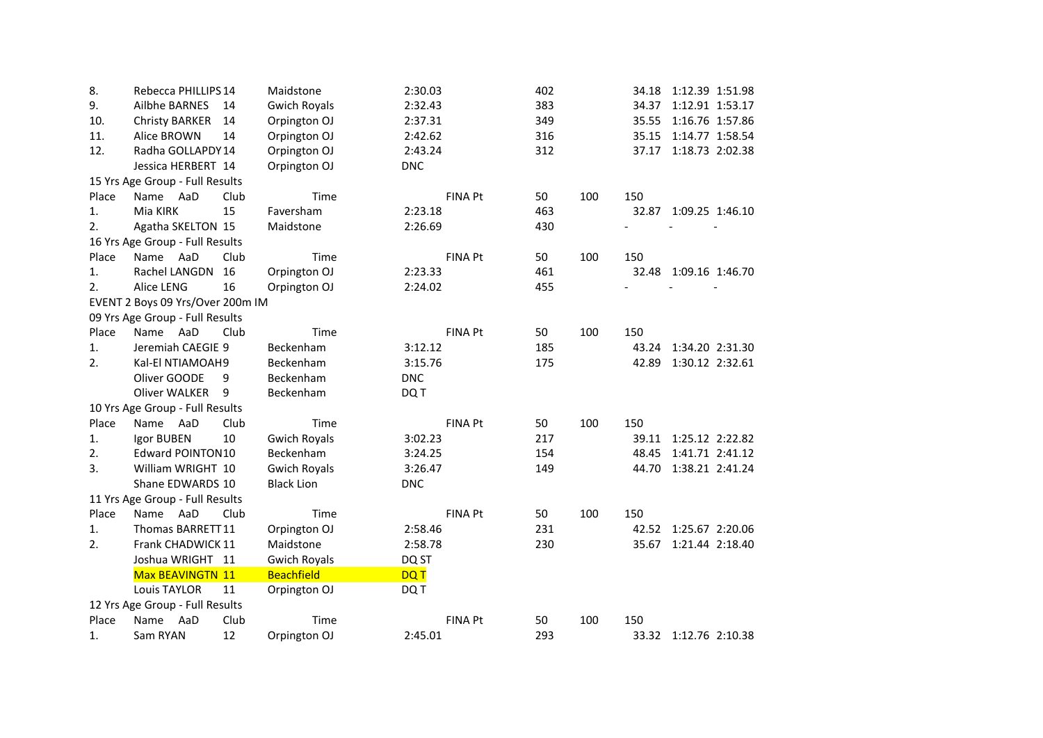| 8.    | Rebecca PHILLIPS 14              |      | Maidstone           | 2:30.03        | 402 |     | 34.18 | 1:12.39 1:51.98       |
|-------|----------------------------------|------|---------------------|----------------|-----|-----|-------|-----------------------|
| 9.    | <b>Ailbhe BARNES</b>             | 14   | <b>Gwich Royals</b> | 2:32.43        | 383 |     | 34.37 | 1:12.91 1:53.17       |
| 10.   | <b>Christy BARKER</b>            | 14   | Orpington OJ        | 2:37.31        | 349 |     | 35.55 | 1:16.76 1:57.86       |
| 11.   | Alice BROWN                      | 14   | Orpington OJ        | 2:42.62        | 316 |     | 35.15 | 1:14.77 1:58.54       |
| 12.   | Radha GOLLAPDY 14                |      | Orpington OJ        | 2:43.24        | 312 |     | 37.17 | 1:18.73 2:02.38       |
|       | Jessica HERBERT 14               |      | Orpington OJ        | <b>DNC</b>     |     |     |       |                       |
|       | 15 Yrs Age Group - Full Results  |      |                     |                |     |     |       |                       |
| Place | Name AaD                         | Club | Time                | <b>FINA Pt</b> | 50  | 100 | 150   |                       |
| 1.    | Mia KIRK                         | 15   | Faversham           | 2:23.18        | 463 |     | 32.87 | 1:09.25 1:46.10       |
| 2.    | Agatha SKELTON 15                |      | Maidstone           | 2:26.69        | 430 |     |       |                       |
|       | 16 Yrs Age Group - Full Results  |      |                     |                |     |     |       |                       |
| Place | Name AaD                         | Club | Time                | <b>FINA Pt</b> | 50  | 100 | 150   |                       |
| 1.    | Rachel LANGDN                    | 16   | Orpington OJ        | 2:23.33        | 461 |     | 32.48 | 1:09.16 1:46.70       |
| 2.    | Alice LENG                       | 16   | Orpington OJ        | 2:24.02        | 455 |     |       |                       |
|       | EVENT 2 Boys 09 Yrs/Over 200m IM |      |                     |                |     |     |       |                       |
|       | 09 Yrs Age Group - Full Results  |      |                     |                |     |     |       |                       |
| Place | Name AaD                         | Club | Time                | <b>FINA Pt</b> | 50  | 100 | 150   |                       |
| 1.    | Jeremiah CAEGIE 9                |      | Beckenham           | 3:12.12        | 185 |     | 43.24 | 1:34.20 2:31.30       |
| 2.    | Kal-El NTIAMOAH9                 |      | Beckenham           | 3:15.76        | 175 |     | 42.89 | 1:30.12 2:32.61       |
|       | Oliver GOODE                     | 9    | Beckenham           | <b>DNC</b>     |     |     |       |                       |
|       | Oliver WALKER                    | 9    | Beckenham           | DQ T           |     |     |       |                       |
|       | 10 Yrs Age Group - Full Results  |      |                     |                |     |     |       |                       |
| Place | Name AaD                         | Club | Time                | <b>FINA Pt</b> | 50  | 100 | 150   |                       |
| 1.    | Igor BUBEN                       | 10   | <b>Gwich Royals</b> | 3:02.23        | 217 |     |       | 39.11 1:25.12 2:22.82 |
| 2.    | <b>Edward POINTON10</b>          |      | Beckenham           | 3:24.25        | 154 |     | 48.45 | 1:41.71 2:41.12       |
| 3.    | William WRIGHT 10                |      | <b>Gwich Royals</b> | 3:26.47        | 149 |     | 44.70 | 1:38.21 2:41.24       |
|       | Shane EDWARDS 10                 |      | <b>Black Lion</b>   | <b>DNC</b>     |     |     |       |                       |
|       | 11 Yrs Age Group - Full Results  |      |                     |                |     |     |       |                       |
| Place | AaD<br>Name                      | Club | Time                | <b>FINA Pt</b> | 50  | 100 | 150   |                       |
| 1.    | Thomas BARRETT11                 |      | Orpington OJ        | 2:58.46        | 231 |     |       | 42.52 1:25.67 2:20.06 |
| 2.    | Frank CHADWICK 11                |      | Maidstone           | 2:58.78        | 230 |     | 35.67 | 1:21.44 2:18.40       |
|       | Joshua WRIGHT 11                 |      | <b>Gwich Royals</b> | DQ ST          |     |     |       |                       |
|       | Max BEAVINGTN 11                 |      | <b>Beachfield</b>   | <b>DQT</b>     |     |     |       |                       |
|       | <b>Louis TAYLOR</b>              | 11   | Orpington OJ        | DQ T           |     |     |       |                       |
|       | 12 Yrs Age Group - Full Results  |      |                     |                |     |     |       |                       |
| Place | AaD<br>Name                      | Club | Time                | <b>FINA Pt</b> | 50  | 100 | 150   |                       |
| 1.    | Sam RYAN                         | 12   | Orpington OJ        | 2:45.01        | 293 |     |       | 33.32 1:12.76 2:10.38 |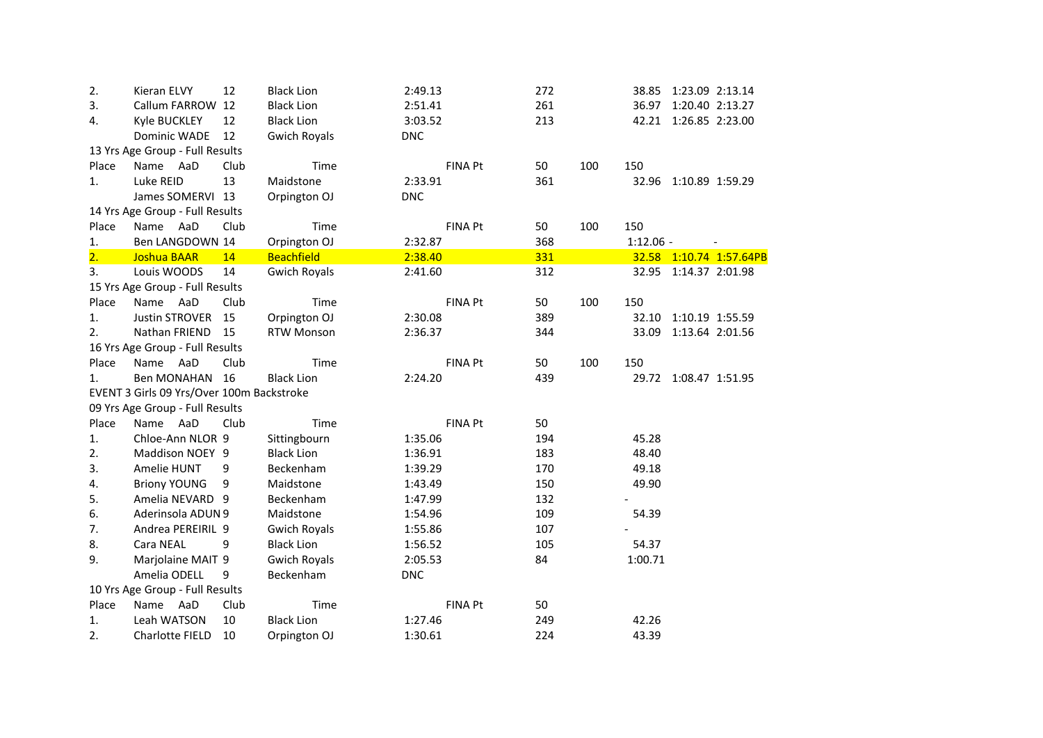| 2.               | Kieran ELVY                               | 12   | <b>Black Lion</b>   | 2:49.13        | 272 |     |             | 38.85 1:23.09 2:13.14 |                         |
|------------------|-------------------------------------------|------|---------------------|----------------|-----|-----|-------------|-----------------------|-------------------------|
| 3.               | Callum FARROW 12                          |      | <b>Black Lion</b>   | 2:51.41        | 261 |     |             | 36.97 1:20.40 2:13.27 |                         |
| 4.               | <b>Kyle BUCKLEY</b>                       | 12   | <b>Black Lion</b>   | 3:03.52        | 213 |     |             | 42.21 1:26.85 2:23.00 |                         |
|                  | Dominic WADE                              | 12   | <b>Gwich Royals</b> | <b>DNC</b>     |     |     |             |                       |                         |
|                  | 13 Yrs Age Group - Full Results           |      |                     |                |     |     |             |                       |                         |
| Place            | Name AaD                                  | Club | Time                | <b>FINA Pt</b> | 50  | 100 | 150         |                       |                         |
| 1.               | Luke REID                                 | 13   | Maidstone           | 2:33.91        | 361 |     |             | 32.96 1:10.89 1:59.29 |                         |
|                  | James SOMERVI 13                          |      | Orpington OJ        | <b>DNC</b>     |     |     |             |                       |                         |
|                  | 14 Yrs Age Group - Full Results           |      |                     |                |     |     |             |                       |                         |
| Place            | Name AaD                                  | Club | Time                | <b>FINA Pt</b> | 50  | 100 | 150         |                       |                         |
| 1.               | Ben LANGDOWN 14                           |      | Orpington OJ        | 2:32.87        | 368 |     | $1:12.06 -$ |                       |                         |
| $\overline{2}$ . | <b>Joshua BAAR</b>                        | 14   | <b>Beachfield</b>   | 2:38.40        | 331 |     |             |                       | 32.58 1:10.74 1:57.64PB |
| 3.               | Louis WOODS                               | 14   | <b>Gwich Royals</b> | 2:41.60        | 312 |     |             | 32.95 1:14.37 2:01.98 |                         |
|                  | 15 Yrs Age Group - Full Results           |      |                     |                |     |     |             |                       |                         |
| Place            | Name AaD                                  | Club | Time                | FINA Pt        | 50  | 100 | 150         |                       |                         |
| 1.               | Justin STROVER 15                         |      | Orpington OJ        | 2:30.08        | 389 |     |             | 32.10 1:10.19 1:55.59 |                         |
| 2.               | Nathan FRIEND 15                          |      | <b>RTW Monson</b>   | 2:36.37        | 344 |     |             | 33.09 1:13.64 2:01.56 |                         |
|                  | 16 Yrs Age Group - Full Results           |      |                     |                |     |     |             |                       |                         |
| Place            | Name AaD                                  | Club | Time                | FINA Pt        | 50  | 100 | 150         |                       |                         |
| 1.               | Ben MONAHAN 16                            |      | <b>Black Lion</b>   | 2:24.20        | 439 |     |             | 29.72 1:08.47 1:51.95 |                         |
|                  | EVENT 3 Girls 09 Yrs/Over 100m Backstroke |      |                     |                |     |     |             |                       |                         |
|                  | 09 Yrs Age Group - Full Results           |      |                     |                |     |     |             |                       |                         |
| Place            | Name AaD                                  | Club | Time                | <b>FINA Pt</b> | 50  |     |             |                       |                         |
| 1.               | Chloe-Ann NLOR 9                          |      | Sittingbourn        | 1:35.06        | 194 |     | 45.28       |                       |                         |
| 2.               | Maddison NOEY 9                           |      | <b>Black Lion</b>   | 1:36.91        | 183 |     | 48.40       |                       |                         |
| 3.               | Amelie HUNT                               | 9    | Beckenham           | 1:39.29        | 170 |     | 49.18       |                       |                         |
| 4.               | <b>Briony YOUNG</b>                       | 9    | Maidstone           | 1:43.49        | 150 |     | 49.90       |                       |                         |
| 5.               | Amelia NEVARD 9                           |      | Beckenham           | 1:47.99        | 132 |     |             |                       |                         |
| 6.               | Aderinsola ADUN 9                         |      | Maidstone           | 1:54.96        | 109 |     | 54.39       |                       |                         |
| 7.               | Andrea PEREIRIL 9                         |      | <b>Gwich Royals</b> | 1:55.86        | 107 |     |             |                       |                         |
| 8.               | Cara NEAL                                 | 9    | <b>Black Lion</b>   | 1:56.52        | 105 |     | 54.37       |                       |                         |
| 9.               | Marjolaine MAIT 9                         |      | <b>Gwich Royals</b> | 2:05.53        | 84  |     | 1:00.71     |                       |                         |
|                  | Amelia ODELL                              | 9    | Beckenham           | <b>DNC</b>     |     |     |             |                       |                         |
|                  | 10 Yrs Age Group - Full Results           |      |                     |                |     |     |             |                       |                         |
| Place            | Name AaD                                  | Club | Time                | FINA Pt        | 50  |     |             |                       |                         |
| 1.               | Leah WATSON                               | 10   | <b>Black Lion</b>   | 1:27.46        | 249 |     | 42.26       |                       |                         |
| 2.               | Charlotte FIELD                           | 10   | Orpington OJ        | 1:30.61        | 224 |     | 43.39       |                       |                         |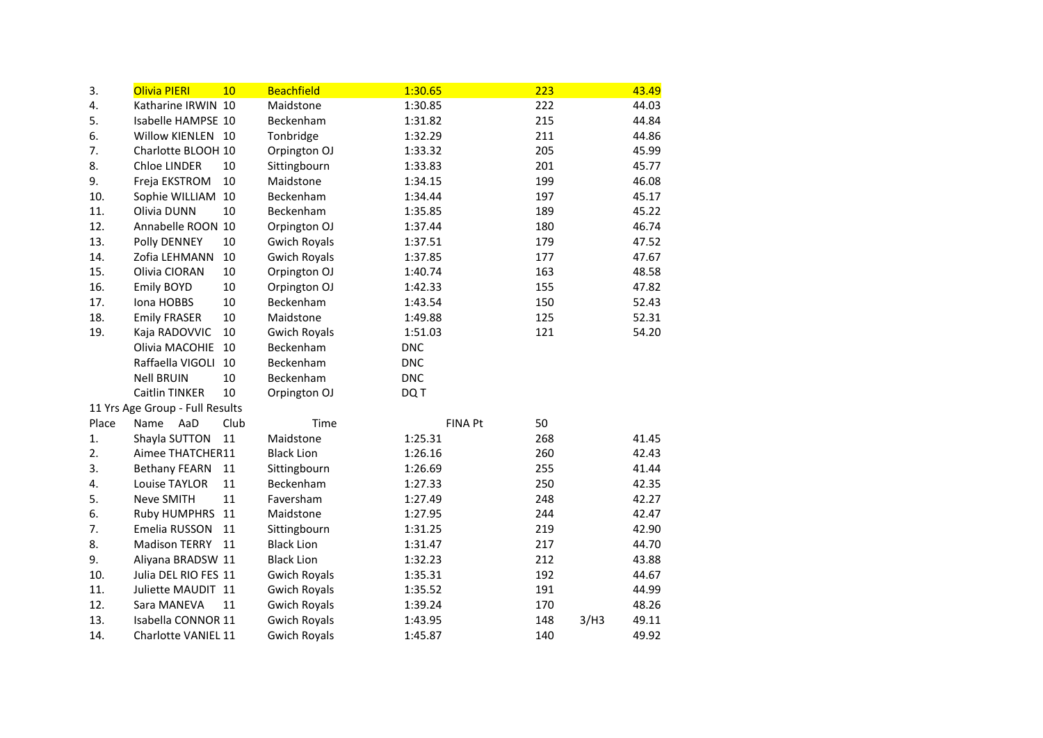| 3.    | Olivia PIERI                    | 10   | <b>Beachfield</b>   | 1:30.65        | 223 |      | 43.49 |
|-------|---------------------------------|------|---------------------|----------------|-----|------|-------|
| 4.    | Katharine IRWIN 10              |      | Maidstone           | 1:30.85        | 222 |      | 44.03 |
| 5.    | Isabelle HAMPSE 10              |      | Beckenham           | 1:31.82        | 215 |      | 44.84 |
| 6.    | Willow KIENLEN 10               |      | Tonbridge           | 1:32.29        | 211 |      | 44.86 |
| 7.    | Charlotte BLOOH 10              |      | Orpington OJ        | 1:33.32        | 205 |      | 45.99 |
| 8.    | Chloe LINDER                    | 10   | Sittingbourn        | 1:33.83        | 201 |      | 45.77 |
| 9.    | Freja EKSTROM                   | 10   | Maidstone           | 1:34.15        | 199 |      | 46.08 |
| 10.   | Sophie WILLIAM                  | 10   | Beckenham           | 1:34.44        | 197 |      | 45.17 |
| 11.   | Olivia DUNN                     | 10   | Beckenham           | 1:35.85        | 189 |      | 45.22 |
| 12.   | Annabelle ROON 10               |      | Orpington OJ        | 1:37.44        | 180 |      | 46.74 |
| 13.   | Polly DENNEY                    | 10   | <b>Gwich Royals</b> | 1:37.51        | 179 |      | 47.52 |
| 14.   | Zofia LEHMANN                   | 10   | <b>Gwich Royals</b> | 1:37.85        | 177 |      | 47.67 |
| 15.   | Olivia CIORAN                   | 10   | Orpington OJ        | 1:40.74        | 163 |      | 48.58 |
| 16.   | Emily BOYD                      | 10   | Orpington OJ        | 1:42.33        | 155 |      | 47.82 |
| 17.   | Iona HOBBS                      | 10   | Beckenham           | 1:43.54        | 150 |      | 52.43 |
| 18.   | <b>Emily FRASER</b>             | 10   | Maidstone           | 1:49.88        | 125 |      | 52.31 |
| 19.   | Kaja RADOVVIC                   | 10   | <b>Gwich Royals</b> | 1:51.03        | 121 |      | 54.20 |
|       | Olivia MACOHIE                  | 10   | Beckenham           | <b>DNC</b>     |     |      |       |
|       | Raffaella VIGOLI                | 10   | Beckenham           | <b>DNC</b>     |     |      |       |
|       | <b>Nell BRUIN</b>               | 10   | Beckenham           | <b>DNC</b>     |     |      |       |
|       | Caitlin TINKER                  | 10   | Orpington OJ        | DQ T           |     |      |       |
|       | 11 Yrs Age Group - Full Results |      |                     |                |     |      |       |
| Place | Name<br>AaD                     | Club | Time                | <b>FINA Pt</b> | 50  |      |       |
| 1.    | Shayla SUTTON                   | 11   | Maidstone           | 1:25.31        | 268 |      | 41.45 |
| 2.    | Aimee THATCHER11                |      | <b>Black Lion</b>   | 1:26.16        | 260 |      | 42.43 |
| 3.    | <b>Bethany FEARN</b>            | 11   | Sittingbourn        | 1:26.69        | 255 |      | 41.44 |
| 4.    | Louise TAYLOR                   | 11   | Beckenham           | 1:27.33        | 250 |      | 42.35 |
| 5.    | Neve SMITH                      | 11   | Faversham           | 1:27.49        | 248 |      | 42.27 |
| 6.    | Ruby HUMPHRS                    | 11   | Maidstone           | 1:27.95        | 244 |      | 42.47 |
| 7.    | Emelia RUSSON                   | 11   | Sittingbourn        | 1:31.25        | 219 |      | 42.90 |
| 8.    | <b>Madison TERRY</b>            | 11   | <b>Black Lion</b>   | 1:31.47        | 217 |      | 44.70 |
| 9.    | Aliyana BRADSW 11               |      | <b>Black Lion</b>   | 1:32.23        | 212 |      | 43.88 |
| 10.   | Julia DEL RIO FES 11            |      | <b>Gwich Royals</b> | 1:35.31        | 192 |      | 44.67 |
| 11.   | Juliette MAUDIT 11              |      | <b>Gwich Royals</b> | 1:35.52        | 191 |      | 44.99 |
| 12.   | Sara MANEVA                     | 11   | <b>Gwich Royals</b> | 1:39.24        | 170 |      | 48.26 |
| 13.   | Isabella CONNOR 11              |      | <b>Gwich Royals</b> | 1:43.95        | 148 | 3/H3 | 49.11 |
| 14.   | <b>Charlotte VANIEL 11</b>      |      | <b>Gwich Royals</b> | 1:45.87        | 140 |      | 49.92 |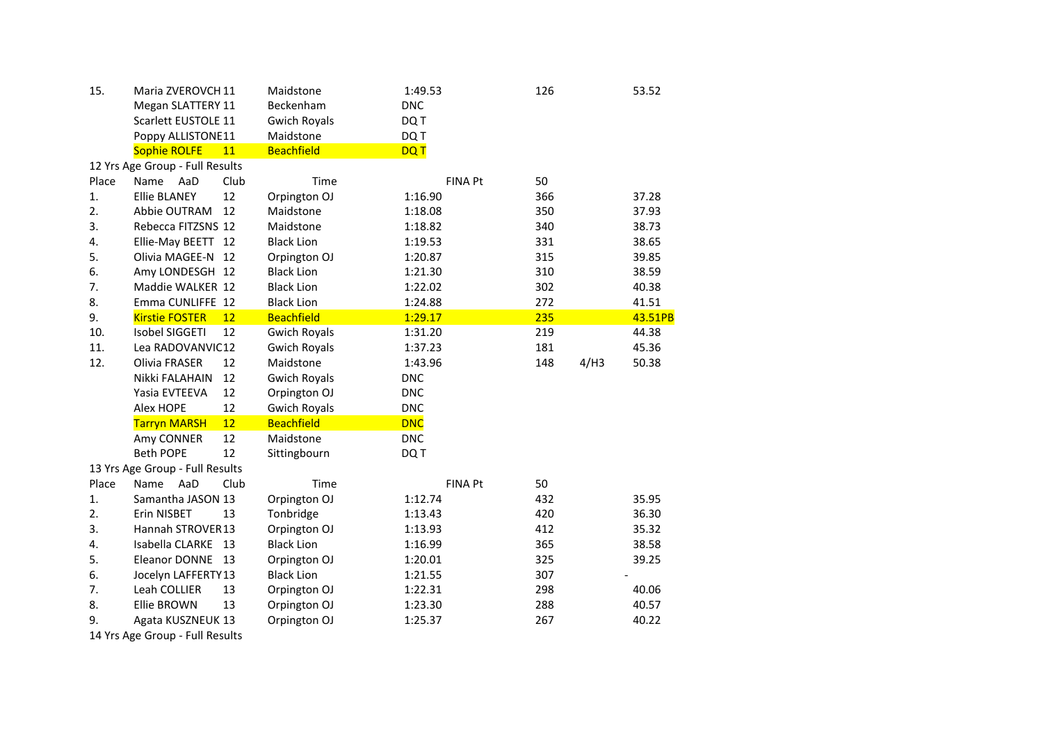| 15.   | Maria ZVEROVCH 11               |      | Maidstone           | 1:49.53        | 126 |      | 53.52   |
|-------|---------------------------------|------|---------------------|----------------|-----|------|---------|
|       | Megan SLATTERY 11               |      | Beckenham           | <b>DNC</b>     |     |      |         |
|       | Scarlett EUSTOLE 11             |      | <b>Gwich Royals</b> | DQ T           |     |      |         |
|       | Poppy ALLISTONE11               |      | Maidstone           | DQ T           |     |      |         |
|       | <b>Sophie ROLFE</b>             | 11   | <b>Beachfield</b>   | <b>DQT</b>     |     |      |         |
|       | 12 Yrs Age Group - Full Results |      |                     |                |     |      |         |
| Place | Name<br>AaD                     | Club | Time                | <b>FINA Pt</b> | 50  |      |         |
| 1.    | <b>Ellie BLANEY</b>             | 12   | Orpington OJ        | 1:16.90        | 366 |      | 37.28   |
| 2.    | Abbie OUTRAM                    | 12   | Maidstone           | 1:18.08        | 350 |      | 37.93   |
| 3.    | Rebecca FITZSNS 12              |      | Maidstone           | 1:18.82        | 340 |      | 38.73   |
| 4.    | Ellie-May BEETT 12              |      | <b>Black Lion</b>   | 1:19.53        | 331 |      | 38.65   |
| 5.    | Olivia MAGEE-N                  | - 12 | Orpington OJ        | 1:20.87        | 315 |      | 39.85   |
| 6.    | Amy LONDESGH 12                 |      | <b>Black Lion</b>   | 1:21.30        | 310 |      | 38.59   |
| 7.    | Maddie WALKER 12                |      | <b>Black Lion</b>   | 1:22.02        | 302 |      | 40.38   |
| 8.    | Emma CUNLIFFE 12                |      | <b>Black Lion</b>   | 1:24.88        | 272 |      | 41.51   |
| 9.    | <b>Kirstie FOSTER</b>           | 12   | <b>Beachfield</b>   | 1:29.17        | 235 |      | 43.51PB |
| 10.   | <b>Isobel SIGGETI</b>           | 12   | <b>Gwich Royals</b> | 1:31.20        | 219 |      | 44.38   |
| 11.   | Lea RADOVANVIC12                |      | <b>Gwich Royals</b> | 1:37.23        | 181 |      | 45.36   |
| 12.   | Olivia FRASER                   | 12   | Maidstone           | 1:43.96        | 148 | 4/H3 | 50.38   |
|       | Nikki FALAHAIN                  | 12   | <b>Gwich Royals</b> | <b>DNC</b>     |     |      |         |
|       | Yasia EVTEEVA                   | 12   | Orpington OJ        | <b>DNC</b>     |     |      |         |
|       | Alex HOPE                       | 12   | <b>Gwich Royals</b> | <b>DNC</b>     |     |      |         |
|       | <b>Tarryn MARSH</b>             | 12   | <b>Beachfield</b>   | <b>DNC</b>     |     |      |         |
|       | Amy CONNER                      | 12   | Maidstone           | <b>DNC</b>     |     |      |         |
|       | <b>Beth POPE</b>                | 12   | Sittingbourn        | DQ T           |     |      |         |
|       | 13 Yrs Age Group - Full Results |      |                     |                |     |      |         |
| Place | AaD<br>Name                     | Club | Time                | <b>FINA Pt</b> | 50  |      |         |
| 1.    | Samantha JASON 13               |      | Orpington OJ        | 1:12.74        | 432 |      | 35.95   |
| 2.    | Erin NISBET                     | 13   | Tonbridge           | 1:13.43        | 420 |      | 36.30   |
| 3.    | Hannah STROVER13                |      | Orpington OJ        | 1:13.93        | 412 |      | 35.32   |
| 4.    | Isabella CLARKE 13              |      | <b>Black Lion</b>   | 1:16.99        | 365 |      | 38.58   |
| 5.    | Eleanor DONNE 13                |      | Orpington OJ        | 1:20.01        | 325 |      | 39.25   |
| 6.    | Jocelyn LAFFERTY13              |      | <b>Black Lion</b>   | 1:21.55        | 307 |      |         |
| 7.    | Leah COLLIER                    | 13   | Orpington OJ        | 1:22.31        | 298 |      | 40.06   |
| 8.    | <b>Ellie BROWN</b>              | 13   | Orpington OJ        | 1:23.30        | 288 |      | 40.57   |
| 9.    | Agata KUSZNEUK 13               |      | Orpington OJ        | 1:25.37        | 267 |      | 40.22   |
|       | 14 Yrs Age Group - Full Results |      |                     |                |     |      |         |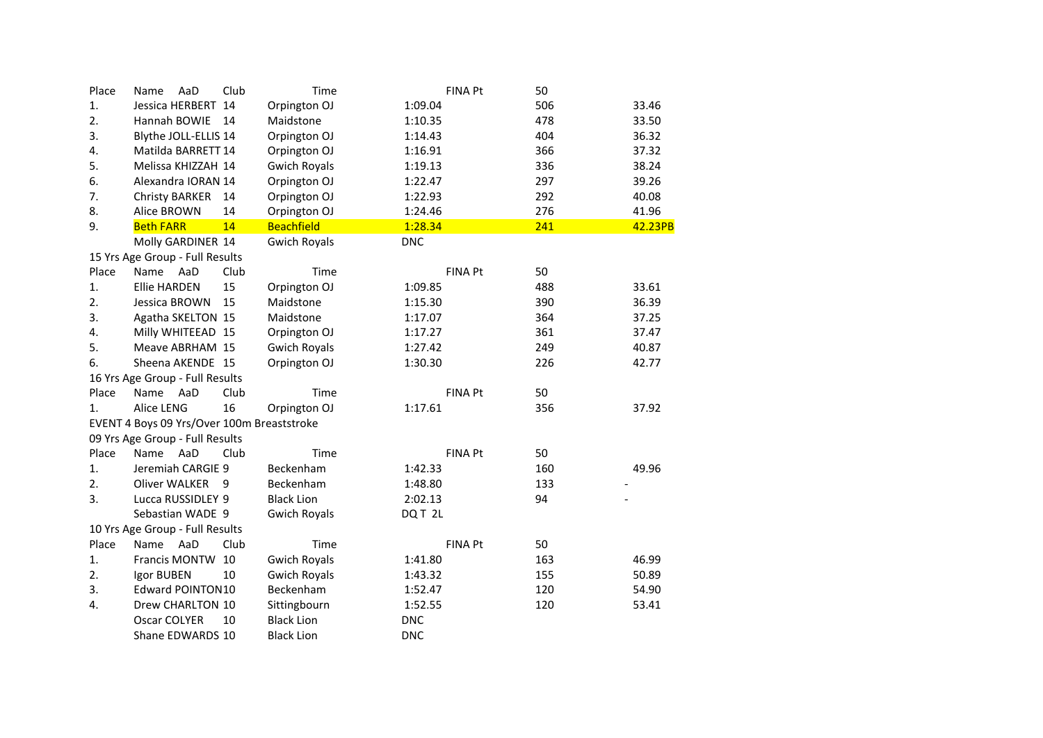| Place | AaD<br>Name                                | Club | Time                | <b>FINA Pt</b>    | 50  |         |
|-------|--------------------------------------------|------|---------------------|-------------------|-----|---------|
| 1.    | Jessica HERBERT 14                         |      | Orpington OJ        | 1:09.04           | 506 | 33.46   |
| 2.    | Hannah BOWIE                               | 14   | Maidstone           | 1:10.35           | 478 | 33.50   |
| 3.    | Blythe JOLL-ELLIS 14                       |      | Orpington OJ        | 1:14.43           | 404 | 36.32   |
| 4.    | Matilda BARRETT 14                         |      | Orpington OJ        | 1:16.91           | 366 | 37.32   |
| 5.    | Melissa KHIZZAH 14                         |      | <b>Gwich Royals</b> | 1:19.13           | 336 | 38.24   |
| 6.    | Alexandra IORAN 14                         |      | Orpington OJ        | 1:22.47           | 297 | 39.26   |
| 7.    | <b>Christy BARKER</b>                      | 14   | Orpington OJ        | 1:22.93           | 292 | 40.08   |
| 8.    | Alice BROWN                                | 14   | Orpington OJ        | 1:24.46           | 276 | 41.96   |
| 9.    | <b>Beth FARR</b>                           | 14   | <b>Beachfield</b>   | 1:28.34           | 241 | 42.23PB |
|       | Molly GARDINER 14                          |      | <b>Gwich Royals</b> | <b>DNC</b>        |     |         |
|       | 15 Yrs Age Group - Full Results            |      |                     |                   |     |         |
| Place | Name<br>AaD                                | Club | Time                | <b>FINA Pt</b>    | 50  |         |
| 1.    | <b>Ellie HARDEN</b>                        | 15   | Orpington OJ        | 1:09.85           | 488 | 33.61   |
| 2.    | Jessica BROWN                              | 15   | Maidstone           | 1:15.30           | 390 | 36.39   |
| 3.    | Agatha SKELTON 15                          |      | Maidstone           | 1:17.07           | 364 | 37.25   |
| 4.    | Milly WHITEEAD 15                          |      | Orpington OJ        | 1:17.27           | 361 | 37.47   |
| 5.    | Meave ABRHAM 15                            |      | <b>Gwich Royals</b> | 1:27.42           | 249 | 40.87   |
| 6.    | Sheena AKENDE 15                           |      | Orpington OJ        | 1:30.30           | 226 | 42.77   |
|       | 16 Yrs Age Group - Full Results            |      |                     |                   |     |         |
| Place | Name<br>AaD                                | Club | Time                | <b>FINA Pt</b>    | 50  |         |
| 1.    | Alice LENG                                 | 16   | Orpington OJ        | 1:17.61           | 356 | 37.92   |
|       | EVENT 4 Boys 09 Yrs/Over 100m Breaststroke |      |                     |                   |     |         |
|       | 09 Yrs Age Group - Full Results            |      |                     |                   |     |         |
| Place | AaD<br>Name                                | Club | Time                | <b>FINA Pt</b>    | 50  |         |
| 1.    | Jeremiah CARGIE 9                          |      | Beckenham           | 1:42.33           | 160 | 49.96   |
| 2.    | <b>Oliver WALKER</b>                       | 9    | Beckenham           | 1:48.80           | 133 |         |
| 3.    | Lucca RUSSIDLEY 9                          |      | <b>Black Lion</b>   | 2:02.13           | 94  |         |
|       | Sebastian WADE 9                           |      | <b>Gwich Royals</b> | DQT <sub>2L</sub> |     |         |
|       | 10 Yrs Age Group - Full Results            |      |                     |                   |     |         |
| Place | AaD<br>Name                                | Club | Time                | <b>FINA Pt</b>    | 50  |         |
| 1.    | Francis MONTW                              | 10   | <b>Gwich Royals</b> | 1:41.80           | 163 | 46.99   |
| 2.    | Igor BUBEN                                 | 10   | <b>Gwich Royals</b> | 1:43.32           | 155 | 50.89   |
| 3.    | <b>Edward POINTON10</b>                    |      | Beckenham           | 1:52.47           | 120 | 54.90   |
| 4.    | Drew CHARLTON 10                           |      | Sittingbourn        | 1:52.55           | 120 | 53.41   |
|       | Oscar COLYER                               | 10   | <b>Black Lion</b>   | <b>DNC</b>        |     |         |
|       | Shane EDWARDS 10                           |      | <b>Black Lion</b>   | <b>DNC</b>        |     |         |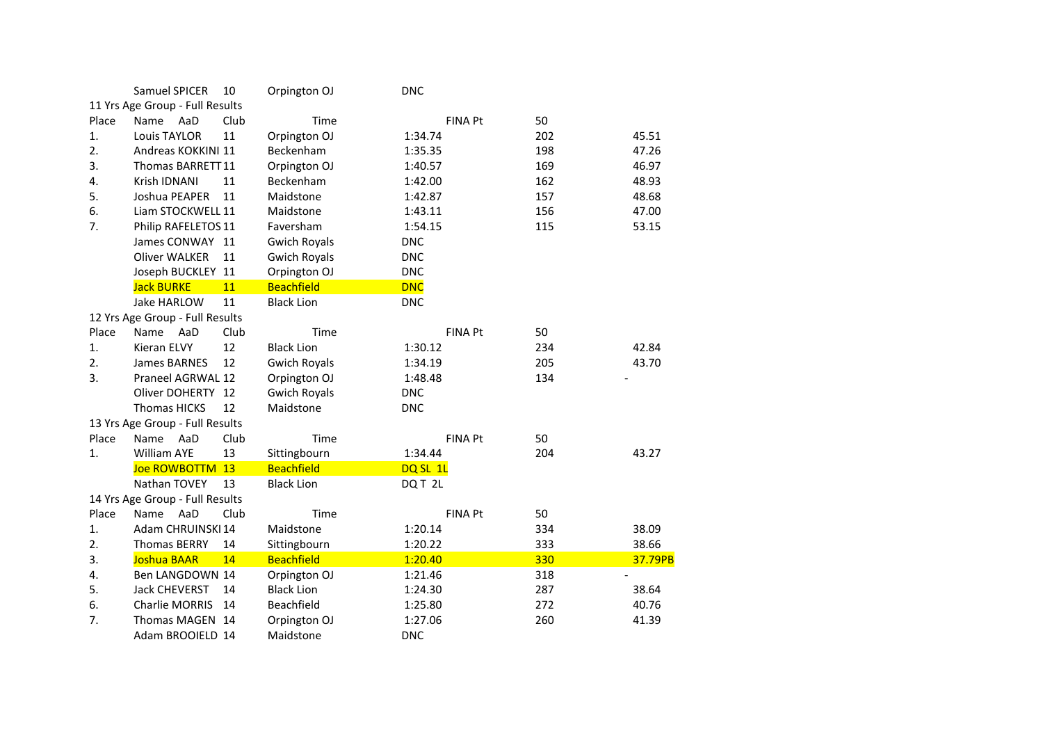|       | Samuel SPICER                   | 10   | Orpington OJ        | <b>DNC</b> |                |     |         |
|-------|---------------------------------|------|---------------------|------------|----------------|-----|---------|
|       | 11 Yrs Age Group - Full Results |      |                     |            |                |     |         |
| Place | Name<br>AaD                     | Club | Time                |            | <b>FINA Pt</b> | 50  |         |
| 1.    | <b>Louis TAYLOR</b>             | 11   | Orpington OJ        | 1:34.74    |                | 202 | 45.51   |
| 2.    | Andreas KOKKINI 11              |      | Beckenham           | 1:35.35    |                | 198 | 47.26   |
| 3.    | Thomas BARRETT11                |      | Orpington OJ        | 1:40.57    |                | 169 | 46.97   |
| 4.    | Krish IDNANI                    | 11   | Beckenham           | 1:42.00    |                | 162 | 48.93   |
| 5.    | Joshua PEAPER                   | 11   | Maidstone           | 1:42.87    |                | 157 | 48.68   |
| 6.    | Liam STOCKWELL 11               |      | Maidstone           | 1:43.11    |                | 156 | 47.00   |
| 7.    | Philip RAFELETOS 11             |      | Faversham           | 1:54.15    |                | 115 | 53.15   |
|       | James CONWAY 11                 |      | <b>Gwich Royals</b> | <b>DNC</b> |                |     |         |
|       | <b>Oliver WALKER</b>            | 11   | <b>Gwich Royals</b> | <b>DNC</b> |                |     |         |
|       | Joseph BUCKLEY 11               |      | Orpington OJ        | <b>DNC</b> |                |     |         |
|       | <b>Jack BURKE</b>               | 11   | <b>Beachfield</b>   | <b>DNC</b> |                |     |         |
|       | Jake HARLOW                     | 11   | <b>Black Lion</b>   | <b>DNC</b> |                |     |         |
|       | 12 Yrs Age Group - Full Results |      |                     |            |                |     |         |
| Place | Name<br>AaD                     | Club | Time                |            | <b>FINA Pt</b> | 50  |         |
| 1.    | Kieran ELVY                     | 12   | <b>Black Lion</b>   | 1:30.12    |                | 234 | 42.84   |
| 2.    | <b>James BARNES</b>             | 12   | <b>Gwich Royals</b> | 1:34.19    |                | 205 | 43.70   |
| 3.    | Praneel AGRWAL 12               |      | Orpington OJ        | 1:48.48    |                | 134 |         |
|       | Oliver DOHERTY 12               |      | <b>Gwich Royals</b> | <b>DNC</b> |                |     |         |
|       | <b>Thomas HICKS</b>             | 12   | Maidstone           | <b>DNC</b> |                |     |         |
|       | 13 Yrs Age Group - Full Results |      |                     |            |                |     |         |
| Place | Name<br>AaD                     | Club | Time                |            | <b>FINA Pt</b> | 50  |         |
| 1.    | <b>William AYE</b>              | 13   | Sittingbourn        | 1:34.44    |                | 204 | 43.27   |
|       | Joe ROWBOTTM 13                 |      | <b>Beachfield</b>   | DQ SL 1L   |                |     |         |
|       | Nathan TOVEY                    | 13   | <b>Black Lion</b>   | DQ T 2L    |                |     |         |
|       | 14 Yrs Age Group - Full Results |      |                     |            |                |     |         |
| Place | AaD<br>Name                     | Club | Time                |            | <b>FINA Pt</b> | 50  |         |
| 1.    | Adam CHRUINSKI 14               |      | Maidstone           | 1:20.14    |                | 334 | 38.09   |
| 2.    | <b>Thomas BERRY</b>             | 14   | Sittingbourn        | 1:20.22    |                | 333 | 38.66   |
| 3.    | Joshua BAAR                     | 14   | <b>Beachfield</b>   | 1:20.40    |                | 330 | 37.79PB |
| 4.    | Ben LANGDOWN 14                 |      | Orpington OJ        | 1:21.46    |                | 318 |         |
| 5.    | Jack CHEVERST                   | 14   | <b>Black Lion</b>   | 1:24.30    |                | 287 | 38.64   |
| 6.    | <b>Charlie MORRIS</b>           | 14   | Beachfield          | 1:25.80    |                | 272 | 40.76   |
| 7.    | Thomas MAGEN 14                 |      | Orpington OJ        | 1:27.06    |                | 260 | 41.39   |
|       | Adam BROOIELD 14                |      | Maidstone           | <b>DNC</b> |                |     |         |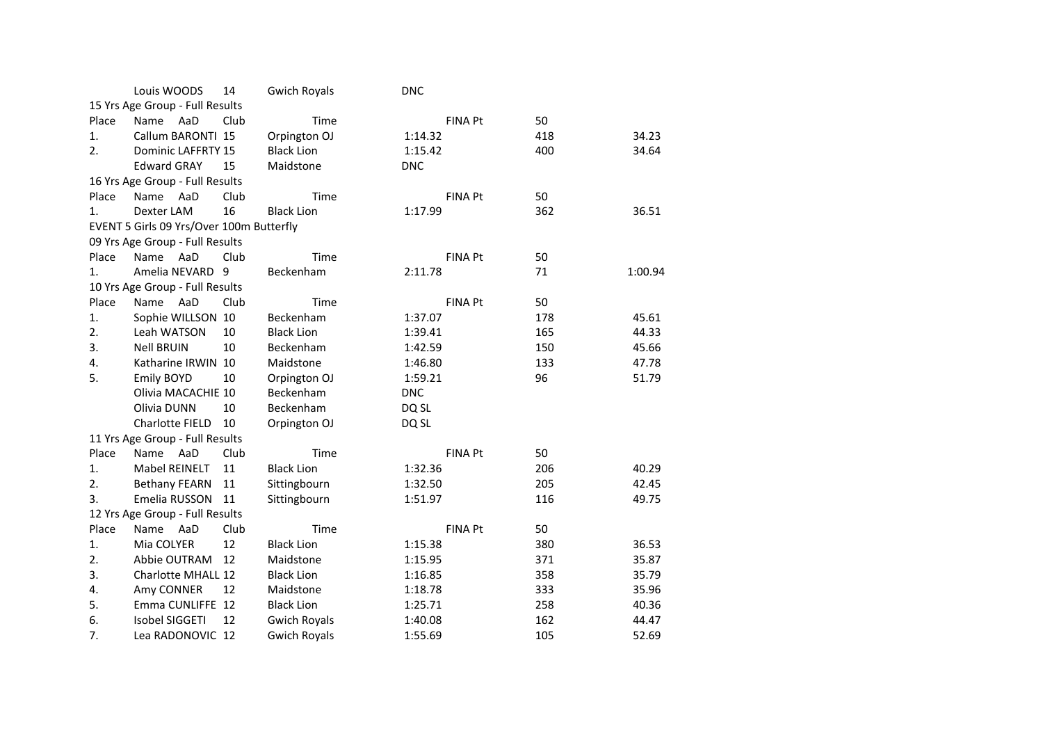|       | Louis WOODS                              | 14   | <b>Gwich Royals</b> | <b>DNC</b> |                |     |         |
|-------|------------------------------------------|------|---------------------|------------|----------------|-----|---------|
|       | 15 Yrs Age Group - Full Results          |      |                     |            |                |     |         |
| Place | AaD<br>Name                              | Club | Time                |            | <b>FINA Pt</b> | 50  |         |
| 1.    | Callum BARONTI 15                        |      | Orpington OJ        | 1:14.32    |                | 418 | 34.23   |
| 2.    | Dominic LAFFRTY 15                       |      | <b>Black Lion</b>   | 1:15.42    |                | 400 | 34.64   |
|       | <b>Edward GRAY</b>                       | 15   | Maidstone           | <b>DNC</b> |                |     |         |
|       | 16 Yrs Age Group - Full Results          |      |                     |            |                |     |         |
| Place | Name<br>AaD                              | Club | Time                |            | <b>FINA Pt</b> | 50  |         |
| 1.    | Dexter LAM                               | 16   | <b>Black Lion</b>   | 1:17.99    |                | 362 | 36.51   |
|       | EVENT 5 Girls 09 Yrs/Over 100m Butterfly |      |                     |            |                |     |         |
|       | 09 Yrs Age Group - Full Results          |      |                     |            |                |     |         |
| Place | AaD<br>Name                              | Club | Time                |            | <b>FINA Pt</b> | 50  |         |
| 1.    | Amelia NEVARD                            | 9    | Beckenham           | 2:11.78    |                | 71  | 1:00.94 |
|       | 10 Yrs Age Group - Full Results          |      |                     |            |                |     |         |
| Place | Name<br>AaD                              | Club | Time                |            | <b>FINA Pt</b> | 50  |         |
| 1.    | Sophie WILLSON 10                        |      | Beckenham           | 1:37.07    |                | 178 | 45.61   |
| 2.    | Leah WATSON                              | 10   | <b>Black Lion</b>   | 1:39.41    |                | 165 | 44.33   |
| 3.    | <b>Nell BRUIN</b>                        | 10   | Beckenham           | 1:42.59    |                | 150 | 45.66   |
| 4.    | Katharine IRWIN 10                       |      | Maidstone           | 1:46.80    |                | 133 | 47.78   |
| 5.    | <b>Emily BOYD</b>                        | 10   | Orpington OJ        | 1:59.21    |                | 96  | 51.79   |
|       | Olivia MACACHIE 10                       |      | Beckenham           | <b>DNC</b> |                |     |         |
|       | Olivia DUNN                              | 10   | Beckenham           | DQ SL      |                |     |         |
|       | Charlotte FIELD                          | 10   | Orpington OJ        | DQ SL      |                |     |         |
|       | 11 Yrs Age Group - Full Results          |      |                     |            |                |     |         |
| Place | Name<br>AaD                              | Club | Time                |            | <b>FINA Pt</b> | 50  |         |
| 1.    | Mabel REINELT                            | 11   | <b>Black Lion</b>   | 1:32.36    |                | 206 | 40.29   |
| 2.    | <b>Bethany FEARN</b>                     | 11   | Sittingbourn        | 1:32.50    |                | 205 | 42.45   |
| 3.    | Emelia RUSSON                            | 11   | Sittingbourn        | 1:51.97    |                | 116 | 49.75   |
|       | 12 Yrs Age Group - Full Results          |      |                     |            |                |     |         |
| Place | AaD<br>Name                              | Club | Time                |            | <b>FINA Pt</b> | 50  |         |
| 1.    | Mia COLYER                               | 12   | <b>Black Lion</b>   | 1:15.38    |                | 380 | 36.53   |
| 2.    | Abbie OUTRAM                             | 12   | Maidstone           | 1:15.95    |                | 371 | 35.87   |
| 3.    | Charlotte MHALL 12                       |      | <b>Black Lion</b>   | 1:16.85    |                | 358 | 35.79   |
| 4.    | Amy CONNER                               | 12   | Maidstone           | 1:18.78    |                | 333 | 35.96   |
| 5.    | Emma CUNLIFFE 12                         |      | <b>Black Lion</b>   | 1:25.71    |                | 258 | 40.36   |
| 6.    | <b>Isobel SIGGETI</b>                    | 12   | <b>Gwich Royals</b> | 1:40.08    |                | 162 | 44.47   |
| 7.    | Lea RADONOVIC 12                         |      | <b>Gwich Royals</b> | 1:55.69    |                | 105 | 52.69   |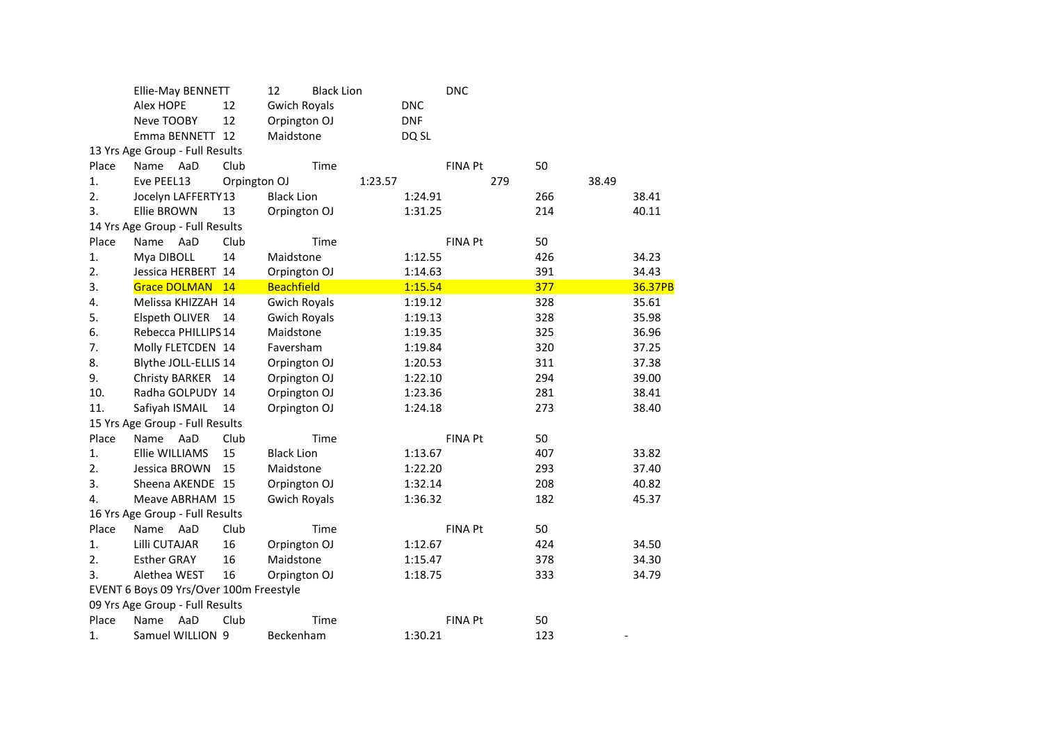|       | Ellie-May BENNETT                       |              | 12<br><b>Black Lion</b> |            | <b>DNC</b>     |       |                          |
|-------|-----------------------------------------|--------------|-------------------------|------------|----------------|-------|--------------------------|
|       | Alex HOPE                               | 12           | <b>Gwich Royals</b>     | <b>DNC</b> |                |       |                          |
|       | Neve TOOBY                              | 12           | Orpington OJ            | <b>DNF</b> |                |       |                          |
|       | Emma BENNETT 12                         |              | Maidstone               | DQ SL      |                |       |                          |
|       | 13 Yrs Age Group - Full Results         |              |                         |            |                |       |                          |
| Place | AaD<br>Name                             | Club         | Time                    |            | FINA Pt        | 50    |                          |
| 1.    | Eve PEEL13                              | Orpington OJ |                         | 1:23.57    | 279            | 38.49 |                          |
| 2.    | Jocelyn LAFFERTY13                      |              | <b>Black Lion</b>       | 1:24.91    |                | 266   | 38.41                    |
| 3.    | <b>Ellie BROWN</b>                      | 13           | Orpington OJ            | 1:31.25    |                | 214   | 40.11                    |
|       | 14 Yrs Age Group - Full Results         |              |                         |            |                |       |                          |
| Place | Name<br>AaD                             | Club         | Time                    |            | <b>FINA Pt</b> | 50    |                          |
| 1.    | Mya DIBOLL                              | 14           | Maidstone               | 1:12.55    |                | 426   | 34.23                    |
| 2.    | Jessica HERBERT 14                      |              | Orpington OJ            | 1:14.63    |                | 391   | 34.43                    |
| 3.    | <b>Grace DOLMAN</b>                     | 14           | <b>Beachfield</b>       | 1:15.54    |                | 377   | 36.37PB                  |
| 4.    | Melissa KHIZZAH 14                      |              | <b>Gwich Royals</b>     | 1:19.12    |                | 328   | 35.61                    |
| 5.    | Elspeth OLIVER                          | 14           | <b>Gwich Royals</b>     | 1:19.13    |                | 328   | 35.98                    |
| 6.    | Rebecca PHILLIPS 14                     |              | Maidstone               | 1:19.35    |                | 325   | 36.96                    |
| 7.    | Molly FLETCDEN 14                       |              | Faversham               | 1:19.84    |                | 320   | 37.25                    |
| 8.    | Blythe JOLL-ELLIS 14                    |              | Orpington OJ            | 1:20.53    |                | 311   | 37.38                    |
| 9.    | Christy BARKER 14                       |              | Orpington OJ            | 1:22.10    |                | 294   | 39.00                    |
| 10.   | Radha GOLPUDY 14                        |              | Orpington OJ            | 1:23.36    |                | 281   | 38.41                    |
| 11.   | Safiyah ISMAIL                          | 14           | Orpington OJ            | 1:24.18    |                | 273   | 38.40                    |
|       | 15 Yrs Age Group - Full Results         |              |                         |            |                |       |                          |
| Place | Name<br>AaD                             | Club         | Time                    |            | <b>FINA Pt</b> | 50    |                          |
| 1.    | Ellie WILLIAMS                          | 15           | <b>Black Lion</b>       | 1:13.67    |                | 407   | 33.82                    |
| 2.    | Jessica BROWN                           | 15           | Maidstone               | 1:22.20    |                | 293   | 37.40                    |
| 3.    | Sheena AKENDE 15                        |              | Orpington OJ            | 1:32.14    |                | 208   | 40.82                    |
| 4.    | Meave ABRHAM 15                         |              | <b>Gwich Royals</b>     | 1:36.32    |                | 182   | 45.37                    |
|       | 16 Yrs Age Group - Full Results         |              |                         |            |                |       |                          |
| Place | AaD<br>Name                             | Club         | Time                    |            | <b>FINA Pt</b> | 50    |                          |
| 1.    | Lilli CUTAJAR                           | 16           | Orpington OJ            | 1:12.67    |                | 424   | 34.50                    |
| 2.    | <b>Esther GRAY</b>                      | 16           | Maidstone               | 1:15.47    |                | 378   | 34.30                    |
| 3.    | Alethea WEST                            | 16           | Orpington OJ            | 1:18.75    |                | 333   | 34.79                    |
|       | EVENT 6 Boys 09 Yrs/Over 100m Freestyle |              |                         |            |                |       |                          |
|       | 09 Yrs Age Group - Full Results         |              |                         |            |                |       |                          |
| Place | AaD<br>Name                             | Club         | Time                    |            | <b>FINA Pt</b> | 50    |                          |
| 1.    | Samuel WILLION 9                        |              | Beckenham               | 1:30.21    |                | 123   | $\overline{\phantom{a}}$ |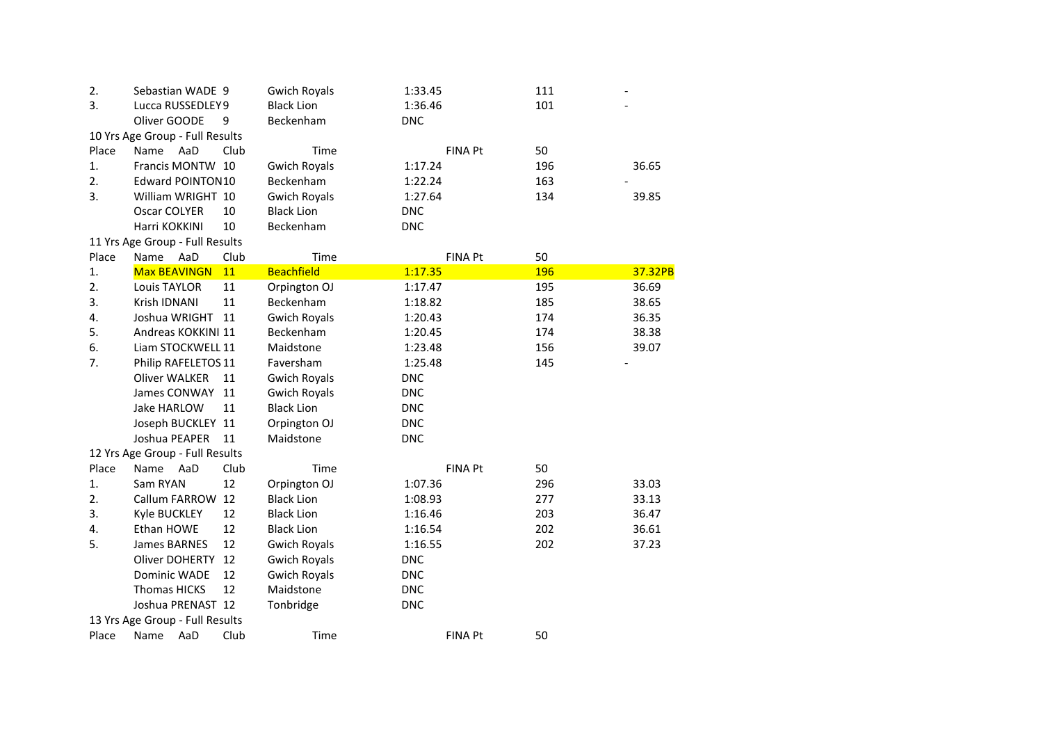| 2.    | Sebastian WADE 9                |      | <b>Gwich Royals</b> | 1:33.45    |                | 111 |         |
|-------|---------------------------------|------|---------------------|------------|----------------|-----|---------|
| 3.    | Lucca RUSSEDLEY9                |      | <b>Black Lion</b>   | 1:36.46    |                | 101 |         |
|       | Oliver GOODE                    | 9    | Beckenham           | <b>DNC</b> |                |     |         |
|       | 10 Yrs Age Group - Full Results |      |                     |            |                |     |         |
| Place | Name<br>AaD                     | Club | Time                |            | FINA Pt        | 50  |         |
| 1.    | Francis MONTW 10                |      | <b>Gwich Royals</b> | 1:17.24    |                | 196 | 36.65   |
| 2.    | Edward POINTON10                |      | Beckenham           | 1:22.24    |                | 163 |         |
| 3.    | William WRIGHT 10               |      | <b>Gwich Royals</b> | 1:27.64    |                | 134 | 39.85   |
|       | Oscar COLYER                    | 10   | <b>Black Lion</b>   | <b>DNC</b> |                |     |         |
|       | Harri KOKKINI                   | 10   | Beckenham           | <b>DNC</b> |                |     |         |
|       | 11 Yrs Age Group - Full Results |      |                     |            |                |     |         |
| Place | Name<br>AaD                     | Club | Time                |            | <b>FINA Pt</b> | 50  |         |
| 1.    | <b>Max BEAVINGN</b>             | 11   | <b>Beachfield</b>   | 1:17.35    |                | 196 | 37.32PB |
| 2.    | Louis TAYLOR                    | 11   | Orpington OJ        | 1:17.47    |                | 195 | 36.69   |
| 3.    | Krish IDNANI                    | 11   | Beckenham           | 1:18.82    |                | 185 | 38.65   |
| 4.    | Joshua WRIGHT                   | 11   | <b>Gwich Royals</b> | 1:20.43    |                | 174 | 36.35   |
| 5.    | Andreas KOKKINI 11              |      | Beckenham           | 1:20.45    |                | 174 | 38.38   |
| 6.    | Liam STOCKWELL 11               |      | Maidstone           | 1:23.48    |                | 156 | 39.07   |
| 7.    | Philip RAFELETOS 11             |      | Faversham           | 1:25.48    |                | 145 |         |
|       | <b>Oliver WALKER</b>            | 11   | <b>Gwich Royals</b> | <b>DNC</b> |                |     |         |
|       | James CONWAY                    | 11   | <b>Gwich Royals</b> | <b>DNC</b> |                |     |         |
|       | Jake HARLOW                     | 11   | <b>Black Lion</b>   | <b>DNC</b> |                |     |         |
|       | Joseph BUCKLEY 11               |      | Orpington OJ        | <b>DNC</b> |                |     |         |
|       | Joshua PEAPER                   | 11   | Maidstone           | <b>DNC</b> |                |     |         |
|       | 12 Yrs Age Group - Full Results |      |                     |            |                |     |         |
| Place | Name AaD                        | Club | Time                |            | <b>FINA Pt</b> | 50  |         |
| 1.    | Sam RYAN                        | 12   | Orpington OJ        | 1:07.36    |                | 296 | 33.03   |
| 2.    | Callum FARROW                   | 12   | <b>Black Lion</b>   | 1:08.93    |                | 277 | 33.13   |
| 3.    | Kyle BUCKLEY                    | 12   | <b>Black Lion</b>   | 1:16.46    |                | 203 | 36.47   |
| 4.    | Ethan HOWE                      | 12   | <b>Black Lion</b>   | 1:16.54    |                | 202 | 36.61   |
| 5.    | James BARNES                    | 12   | <b>Gwich Royals</b> | 1:16.55    |                | 202 | 37.23   |
|       | Oliver DOHERTY                  | 12   | <b>Gwich Royals</b> | <b>DNC</b> |                |     |         |
|       | <b>Dominic WADE</b>             | 12   | <b>Gwich Royals</b> | <b>DNC</b> |                |     |         |
|       | <b>Thomas HICKS</b>             | 12   | Maidstone           | <b>DNC</b> |                |     |         |
|       | Joshua PRENAST 12               |      | Tonbridge           | <b>DNC</b> |                |     |         |
|       | 13 Yrs Age Group - Full Results |      |                     |            |                |     |         |
| Place | AaD<br>Name                     | Club | Time                |            | <b>FINA Pt</b> | 50  |         |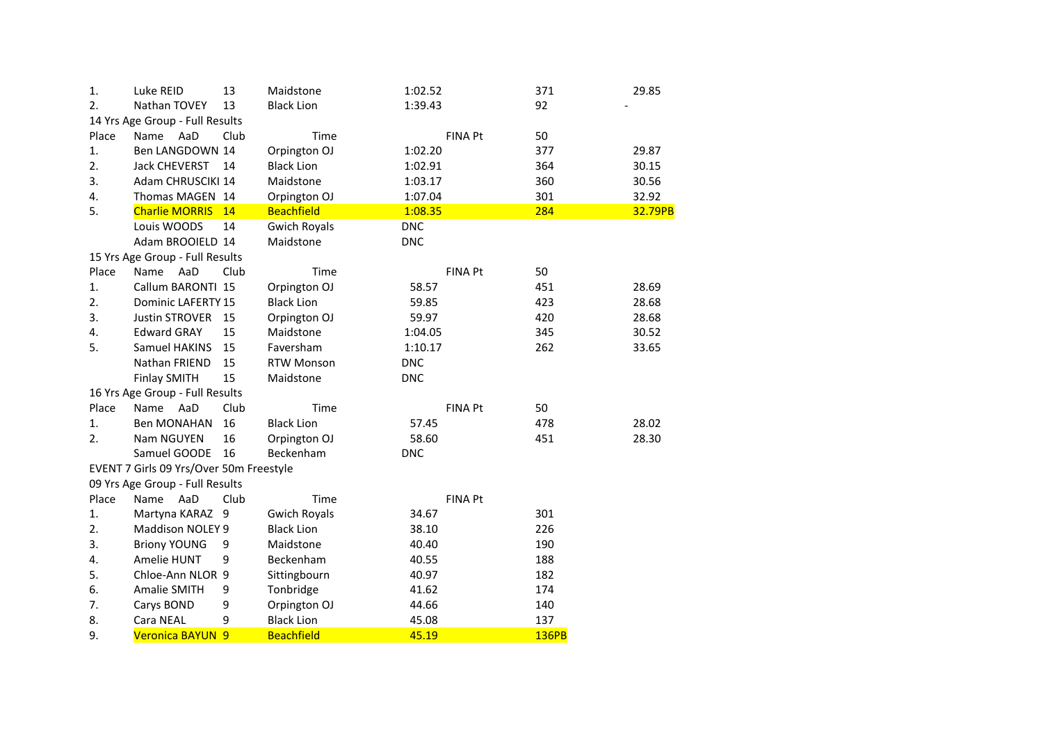| 1.    | Luke REID                               | 13   | Maidstone           | 1:02.52        | 371          | 29.85   |
|-------|-----------------------------------------|------|---------------------|----------------|--------------|---------|
| 2.    | Nathan TOVEY                            | 13   | <b>Black Lion</b>   | 1:39.43        | 92           |         |
|       | 14 Yrs Age Group - Full Results         |      |                     |                |              |         |
| Place | Name AaD                                | Club | Time                | <b>FINA Pt</b> | 50           |         |
| 1.    | Ben LANGDOWN 14                         |      | Orpington OJ        | 1:02.20        | 377          | 29.87   |
| 2.    | Jack CHEVERST                           | 14   | <b>Black Lion</b>   | 1:02.91        | 364          | 30.15   |
| 3.    | Adam CHRUSCIKI 14                       |      | Maidstone           | 1:03.17        | 360          | 30.56   |
| 4.    | Thomas MAGEN 14                         |      | Orpington OJ        | 1:07.04        | 301          | 32.92   |
| 5.    | <b>Charlie MORRIS</b>                   | 14   | <b>Beachfield</b>   | 1:08.35        | 284          | 32.79PB |
|       | Louis WOODS                             | 14   | <b>Gwich Royals</b> | <b>DNC</b>     |              |         |
|       | Adam BROOIELD 14                        |      | Maidstone           | <b>DNC</b>     |              |         |
|       | 15 Yrs Age Group - Full Results         |      |                     |                |              |         |
| Place | Name<br>AaD                             | Club | Time                | <b>FINA Pt</b> | 50           |         |
| 1.    | Callum BARONTI 15                       |      | Orpington OJ        | 58.57          | 451          | 28.69   |
| 2.    | Dominic LAFERTY 15                      |      | <b>Black Lion</b>   | 59.85          | 423          | 28.68   |
| 3.    | <b>Justin STROVER</b>                   | 15   | Orpington OJ        | 59.97          | 420          | 28.68   |
| 4.    | <b>Edward GRAY</b>                      | 15   | Maidstone           | 1:04.05        | 345          | 30.52   |
| 5.    | Samuel HAKINS                           | 15   | Faversham           | 1:10.17        | 262          | 33.65   |
|       | Nathan FRIEND                           | 15   | <b>RTW Monson</b>   | <b>DNC</b>     |              |         |
|       | <b>Finlay SMITH</b>                     | 15   | Maidstone           | <b>DNC</b>     |              |         |
|       | 16 Yrs Age Group - Full Results         |      |                     |                |              |         |
| Place | Name AaD                                | Club | Time                | <b>FINA Pt</b> | 50           |         |
| 1.    | Ben MONAHAN                             | 16   | <b>Black Lion</b>   | 57.45          | 478          | 28.02   |
| 2.    | Nam NGUYEN                              | 16   | Orpington OJ        | 58.60          | 451          | 28.30   |
|       | Samuel GOODE                            | 16   | Beckenham           | <b>DNC</b>     |              |         |
|       | EVENT 7 Girls 09 Yrs/Over 50m Freestyle |      |                     |                |              |         |
|       | 09 Yrs Age Group - Full Results         |      |                     |                |              |         |
| Place | Name<br>AaD                             | Club | Time                | <b>FINA Pt</b> |              |         |
| 1.    | Martyna KARAZ 9                         |      | <b>Gwich Royals</b> | 34.67          | 301          |         |
| 2.    | Maddison NOLEY 9                        |      | <b>Black Lion</b>   | 38.10          | 226          |         |
| 3.    | <b>Briony YOUNG</b>                     | 9    | Maidstone           | 40.40          | 190          |         |
| 4.    | Amelie HUNT                             | 9    | Beckenham           | 40.55          | 188          |         |
| 5.    | Chloe-Ann NLOR 9                        |      | Sittingbourn        | 40.97          | 182          |         |
| 6.    | Amalie SMITH                            | 9    | Tonbridge           | 41.62          | 174          |         |
| 7.    | Carys BOND                              | 9    | Orpington OJ        | 44.66          | 140          |         |
| 8.    | Cara NEAL                               | 9    | <b>Black Lion</b>   | 45.08          | 137          |         |
| 9.    | Veronica BAYUN 9                        |      | <b>Beachfield</b>   | 45.19          | <b>136PB</b> |         |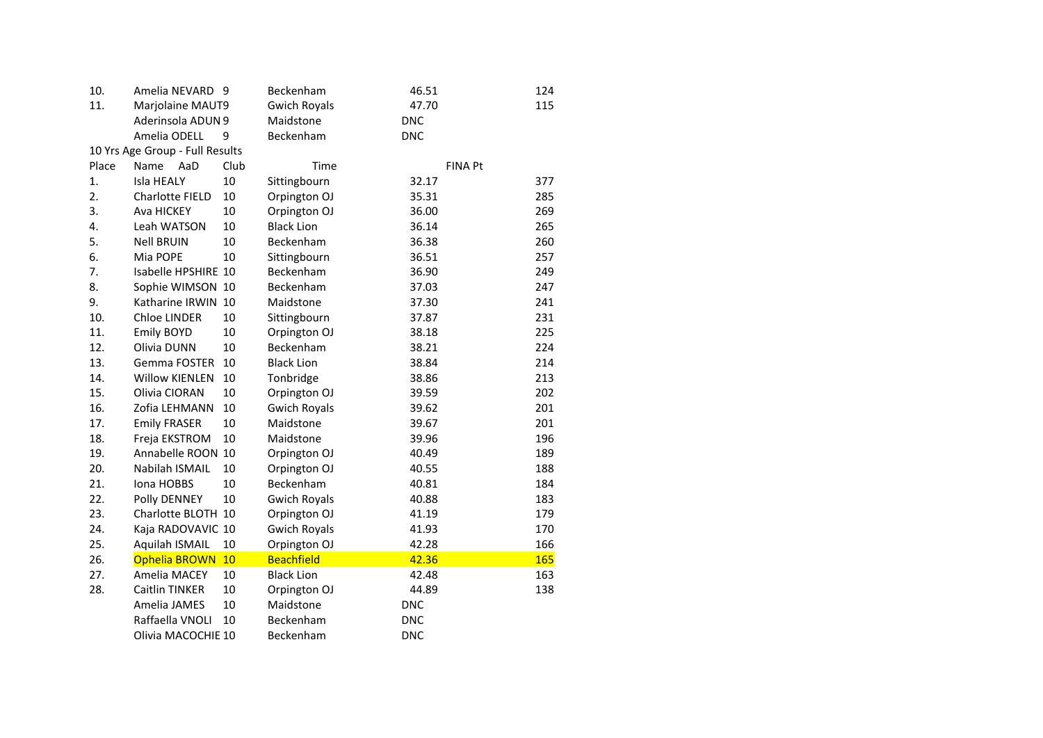| 10.   | Amelia NEVARD                   | - 9  | Beckenham           | 46.51          | 124        |
|-------|---------------------------------|------|---------------------|----------------|------------|
| 11.   | Marjolaine MAUT9                |      | <b>Gwich Royals</b> | 47.70          | 115        |
|       | Aderinsola ADUN 9               |      | Maidstone           | <b>DNC</b>     |            |
|       | Amelia ODELL                    | 9    | Beckenham           | <b>DNC</b>     |            |
|       | 10 Yrs Age Group - Full Results |      |                     |                |            |
| Place | Name<br>AaD                     | Club | Time                | <b>FINA Pt</b> |            |
| 1.    | Isla HEALY                      | 10   | Sittingbourn        | 32.17          | 377        |
| 2.    | Charlotte FIELD                 | 10   | Orpington OJ        | 35.31          | 285        |
| 3.    | Ava HICKEY                      | 10   | Orpington OJ        | 36.00          | 269        |
| 4.    | Leah WATSON                     | 10   | <b>Black Lion</b>   | 36.14          | 265        |
| 5.    | <b>Nell BRUIN</b>               | 10   | Beckenham           | 36.38          | 260        |
| 6.    | Mia POPE                        | 10   | Sittingbourn        | 36.51          | 257        |
| 7.    | Isabelle HPSHIRE 10             |      | Beckenham           | 36.90          | 249        |
| 8.    | Sophie WIMSON 10                |      | Beckenham           | 37.03          | 247        |
| 9.    | Katharine IRWIN 10              |      | Maidstone           | 37.30          | 241        |
| 10.   | Chloe LINDER                    | 10   | Sittingbourn        | 37.87          | 231        |
| 11.   | <b>Emily BOYD</b>               | 10   | Orpington OJ        | 38.18          | 225        |
| 12.   | Olivia DUNN                     | 10   | Beckenham           | 38.21          | 224        |
| 13.   | Gemma FOSTER                    | 10   | <b>Black Lion</b>   | 38.84          | 214        |
| 14.   | Willow KIENLEN                  | 10   | Tonbridge           | 38.86          | 213        |
| 15.   | Olivia CIORAN                   | 10   | Orpington OJ        | 39.59          | 202        |
| 16.   | Zofia LEHMANN                   | 10   | <b>Gwich Royals</b> | 39.62          | 201        |
| 17.   | <b>Emily FRASER</b>             | 10   | Maidstone           | 39.67          | 201        |
| 18.   | Freja EKSTROM                   | 10   | Maidstone           | 39.96          | 196        |
| 19.   | Annabelle ROON 10               |      | Orpington OJ        | 40.49          | 189        |
| 20.   | Nabilah ISMAIL                  | 10   | Orpington OJ        | 40.55          | 188        |
| 21.   | Iona HOBBS                      | 10   | Beckenham           | 40.81          | 184        |
| 22.   | Polly DENNEY                    | 10   | <b>Gwich Royals</b> | 40.88          | 183        |
| 23.   | Charlotte BLOTH 10              |      | Orpington OJ        | 41.19          | 179        |
| 24.   | Kaja RADOVAVIC 10               |      | <b>Gwich Royals</b> | 41.93          | 170        |
| 25.   | Aquilah ISMAIL                  | 10   | Orpington OJ        | 42.28          | 166        |
| 26.   | Ophelia BROWN                   | 10   | <b>Beachfield</b>   | 42.36          | <b>165</b> |
| 27.   | Amelia MACEY                    | 10   | <b>Black Lion</b>   | 42.48          | 163        |
| 28.   | Caitlin TINKER                  | 10   | Orpington OJ        | 44.89          | 138        |
|       | Amelia JAMES                    | 10   | Maidstone           | <b>DNC</b>     |            |
|       | Raffaella VNOLI                 | 10   | Beckenham           | <b>DNC</b>     |            |
|       | Olivia MACOCHIE 10              |      | Beckenham           | <b>DNC</b>     |            |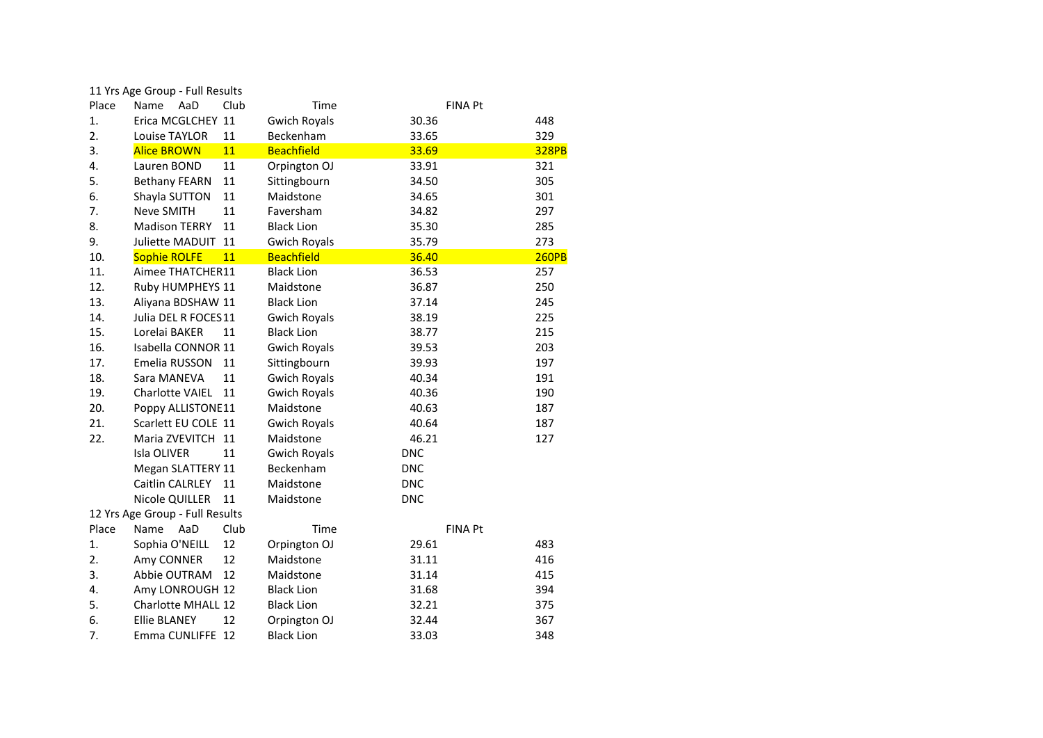|       | 11 Yrs Age Group - Full Results |      |                     |            |                |              |
|-------|---------------------------------|------|---------------------|------------|----------------|--------------|
| Place | AaD<br>Name                     | Club | Time                |            | <b>FINA Pt</b> |              |
| 1.    | Erica MCGLCHEY 11               |      | <b>Gwich Royals</b> | 30.36      |                | 448          |
| 2.    | Louise TAYLOR                   | 11   | Beckenham           | 33.65      |                | 329          |
| 3.    | <b>Alice BROWN</b>              | 11   | <b>Beachfield</b>   | 33.69      |                | <b>328PB</b> |
| 4.    | Lauren BOND                     | 11   | Orpington OJ        | 33.91      |                | 321          |
| 5.    | <b>Bethany FEARN</b>            | 11   | Sittingbourn        | 34.50      |                | 305          |
| 6.    | Shayla SUTTON                   | 11   | Maidstone           | 34.65      |                | 301          |
| 7.    | Neve SMITH                      | 11   | Faversham           | 34.82      |                | 297          |
| 8.    | <b>Madison TERRY</b>            | 11   | <b>Black Lion</b>   | 35.30      |                | 285          |
| 9.    | Juliette MADUIT                 | 11   | <b>Gwich Royals</b> | 35.79      |                | 273          |
| 10.   | <b>Sophie ROLFE</b>             | 11   | <b>Beachfield</b>   | 36.40      |                | <b>260PB</b> |
| 11.   | Aimee THATCHER11                |      | <b>Black Lion</b>   | 36.53      |                | 257          |
| 12.   | Ruby HUMPHEYS 11                |      | Maidstone           | 36.87      |                | 250          |
| 13.   | Aliyana BDSHAW 11               |      | <b>Black Lion</b>   | 37.14      |                | 245          |
| 14.   | Julia DEL R FOCES11             |      | <b>Gwich Royals</b> | 38.19      |                | 225          |
| 15.   | Lorelai BAKER                   | 11   | <b>Black Lion</b>   | 38.77      |                | 215          |
| 16.   | Isabella CONNOR 11              |      | <b>Gwich Royals</b> | 39.53      |                | 203          |
| 17.   | Emelia RUSSON                   | 11   | Sittingbourn        | 39.93      |                | 197          |
| 18.   | Sara MANEVA                     | 11   | <b>Gwich Royals</b> | 40.34      |                | 191          |
| 19.   | Charlotte VAIEL                 | 11   | <b>Gwich Royals</b> | 40.36      |                | 190          |
| 20.   | Poppy ALLISTONE11               |      | Maidstone           | 40.63      |                | 187          |
| 21.   | Scarlett EU COLE 11             |      | <b>Gwich Royals</b> | 40.64      |                | 187          |
| 22.   | Maria ZVEVITCH 11               |      | Maidstone           | 46.21      |                | 127          |
|       | Isla OLIVER                     | 11   | <b>Gwich Royals</b> | <b>DNC</b> |                |              |
|       | Megan SLATTERY 11               |      | Beckenham           | <b>DNC</b> |                |              |
|       | Caitlin CALRLEY                 | 11   | Maidstone           | <b>DNC</b> |                |              |
|       | Nicole QUILLER                  | 11   | Maidstone           | <b>DNC</b> |                |              |
|       | 12 Yrs Age Group - Full Results |      |                     |            |                |              |
| Place | AaD<br>Name                     | Club | Time                |            | <b>FINA Pt</b> |              |
| 1.    | Sophia O'NEILL                  | 12   | Orpington OJ        | 29.61      |                | 483          |
| 2.    | Amy CONNER                      | 12   | Maidstone           | 31.11      |                | 416          |
| 3.    | Abbie OUTRAM                    | 12   | Maidstone           | 31.14      |                | 415          |
| 4.    | Amy LONROUGH 12                 |      | <b>Black Lion</b>   | 31.68      |                | 394          |
| 5.    | Charlotte MHALL 12              |      | <b>Black Lion</b>   | 32.21      |                | 375          |
| 6.    | <b>Ellie BLANEY</b>             | 12   | Orpington OJ        | 32.44      |                | 367          |
| 7.    | Emma CUNLIFFE 12                |      | <b>Black Lion</b>   | 33.03      |                | 348          |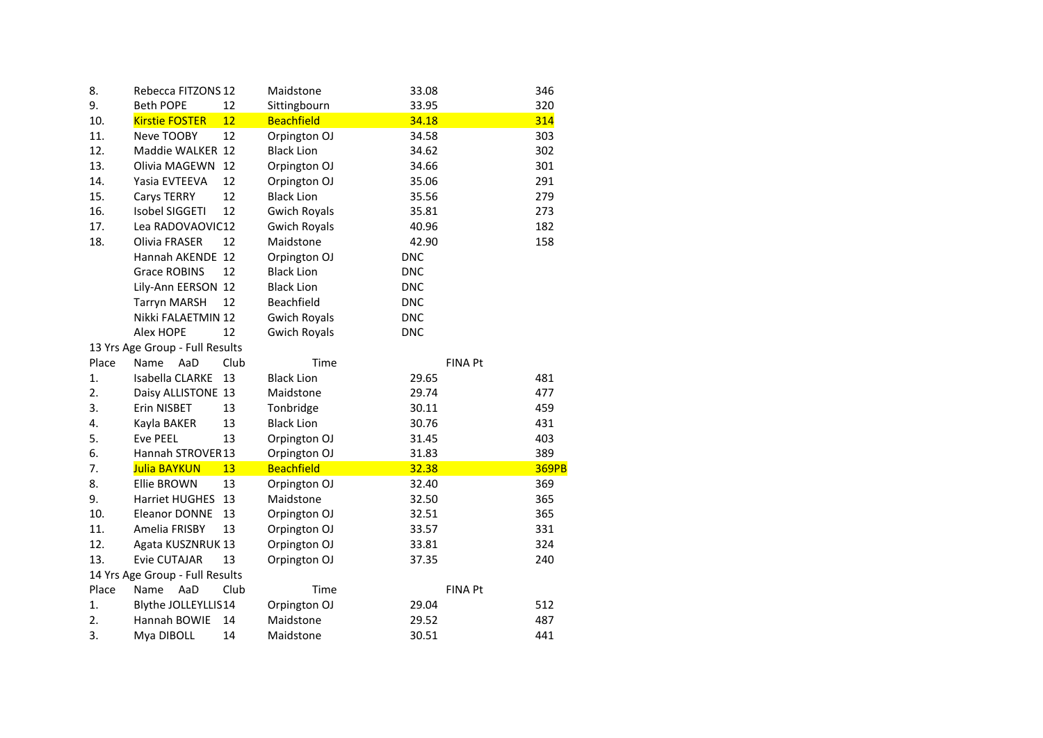| 8.    | Rebecca FITZONS 12              |      | Maidstone           | 33.08      |                | 346          |
|-------|---------------------------------|------|---------------------|------------|----------------|--------------|
| 9.    | <b>Beth POPE</b>                | 12   | Sittingbourn        | 33.95      |                | 320          |
| 10.   | <b>Kirstie FOSTER</b>           | 12   | <b>Beachfield</b>   | 34.18      |                | <b>314</b>   |
| 11.   | Neve TOOBY                      | 12   | Orpington OJ        | 34.58      |                | 303          |
| 12.   | Maddie WALKER 12                |      | <b>Black Lion</b>   | 34.62      |                | 302          |
| 13.   | Olivia MAGEWN 12                |      | Orpington OJ        | 34.66      |                | 301          |
| 14.   | Yasia EVTEEVA                   | 12   | Orpington OJ        | 35.06      |                | 291          |
| 15.   | Carys TERRY                     | 12   | <b>Black Lion</b>   | 35.56      |                | 279          |
| 16.   | Isobel SIGGETI                  | 12   | <b>Gwich Royals</b> | 35.81      |                | 273          |
| 17.   | Lea RADOVAOVIC12                |      | <b>Gwich Royals</b> | 40.96      |                | 182          |
| 18.   | Olivia FRASER                   | 12   | Maidstone           | 42.90      |                | 158          |
|       | Hannah AKENDE 12                |      | Orpington OJ        | <b>DNC</b> |                |              |
|       | <b>Grace ROBINS</b>             | 12   | <b>Black Lion</b>   | <b>DNC</b> |                |              |
|       | Lily-Ann EERSON 12              |      | <b>Black Lion</b>   | <b>DNC</b> |                |              |
|       | <b>Tarryn MARSH</b>             | 12   | Beachfield          | <b>DNC</b> |                |              |
|       | Nikki FALAETMIN 12              |      | <b>Gwich Royals</b> | <b>DNC</b> |                |              |
|       | Alex HOPE                       | 12   | <b>Gwich Royals</b> | <b>DNC</b> |                |              |
|       | 13 Yrs Age Group - Full Results |      |                     |            |                |              |
| Place | Name<br>AaD                     | Club | Time                |            | <b>FINA Pt</b> |              |
| 1.    | Isabella CLARKE                 | 13   | <b>Black Lion</b>   | 29.65      |                | 481          |
| 2.    | Daisy ALLISTONE 13              |      | Maidstone           | 29.74      |                | 477          |
| 3.    | Erin NISBET                     | 13   | Tonbridge           | 30.11      |                | 459          |
| 4.    | Kayla BAKER                     | 13   | <b>Black Lion</b>   | 30.76      |                | 431          |
| 5.    | <b>Eve PEEL</b>                 | 13   | Orpington OJ        | 31.45      |                | 403          |
| 6.    | Hannah STROVER13                |      | Orpington OJ        | 31.83      |                | 389          |
| 7.    | <b>Julia BAYKUN</b>             | 13   | <b>Beachfield</b>   | 32.38      |                | <b>369PB</b> |
| 8.    | <b>Ellie BROWN</b>              | 13   | Orpington OJ        | 32.40      |                | 369          |
| 9.    | Harriet HUGHES                  | 13   | Maidstone           | 32.50      |                | 365          |
| 10.   | <b>Eleanor DONNE</b>            | 13   | Orpington OJ        | 32.51      |                | 365          |
| 11.   | Amelia FRISBY                   | 13   | Orpington OJ        | 33.57      |                | 331          |
| 12.   | Agata KUSZNRUK 13               |      | Orpington OJ        | 33.81      |                | 324          |
| 13.   | Evie CUTAJAR                    | 13   | Orpington OJ        | 37.35      |                | 240          |
|       | 14 Yrs Age Group - Full Results |      |                     |            |                |              |
| Place | Name<br>AaD                     | Club | Time                |            | <b>FINA Pt</b> |              |
| 1.    | Blythe JOLLEYLLIS14             |      | Orpington OJ        | 29.04      |                | 512          |
| 2.    | Hannah BOWIE                    | 14   | Maidstone           | 29.52      |                | 487          |
| 3.    | Mya DIBOLL                      | 14   | Maidstone           | 30.51      |                | 441          |
|       |                                 |      |                     |            |                |              |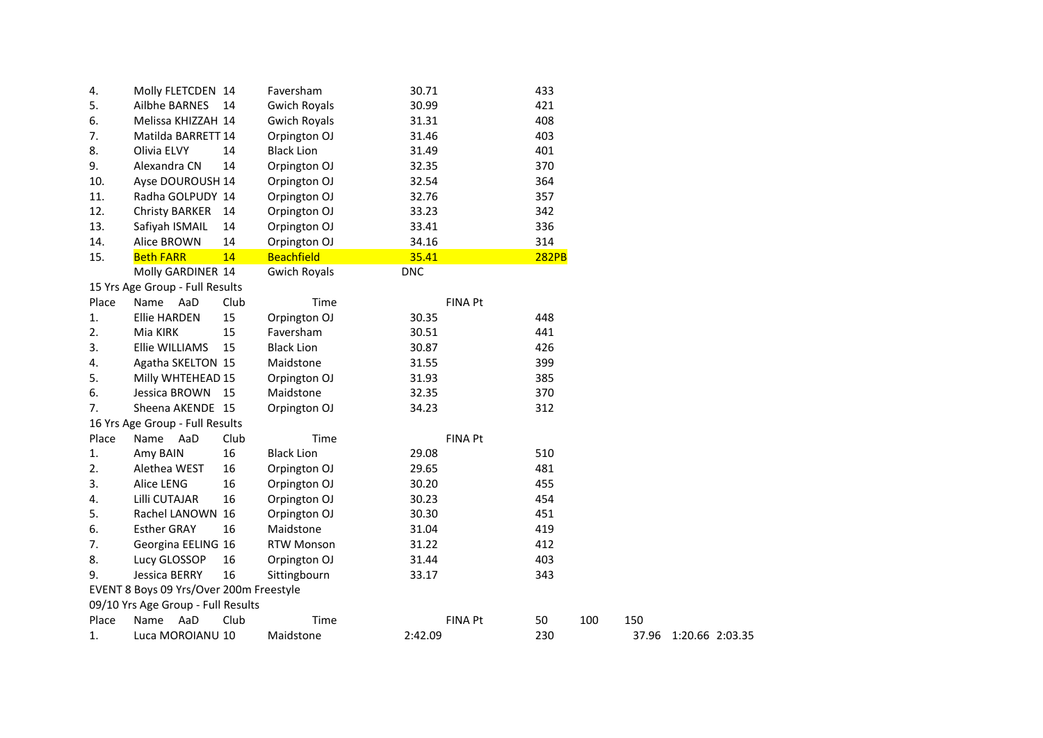| 4.    | Molly FLETCDEN 14                       |      | Faversham           | 30.71          | 433          |     |       |                 |  |
|-------|-----------------------------------------|------|---------------------|----------------|--------------|-----|-------|-----------------|--|
| 5.    | Ailbhe BARNES                           | 14   | <b>Gwich Royals</b> | 30.99          | 421          |     |       |                 |  |
| 6.    | Melissa KHIZZAH 14                      |      | <b>Gwich Royals</b> | 31.31          | 408          |     |       |                 |  |
| 7.    | Matilda BARRETT 14                      |      | Orpington OJ        | 31.46          | 403          |     |       |                 |  |
| 8.    | Olivia ELVY                             | 14   | <b>Black Lion</b>   | 31.49          | 401          |     |       |                 |  |
| 9.    | Alexandra CN                            | 14   | Orpington OJ        | 32.35          | 370          |     |       |                 |  |
| 10.   | Ayse DOUROUSH 14                        |      | Orpington OJ        | 32.54          | 364          |     |       |                 |  |
| 11.   | Radha GOLPUDY 14                        |      | Orpington OJ        | 32.76          | 357          |     |       |                 |  |
| 12.   | <b>Christy BARKER</b>                   | 14   | Orpington OJ        | 33.23          | 342          |     |       |                 |  |
| 13.   | Safiyah ISMAIL                          | 14   | Orpington OJ        | 33.41          | 336          |     |       |                 |  |
| 14.   | Alice BROWN                             | 14   | Orpington OJ        | 34.16          | 314          |     |       |                 |  |
| 15.   | <b>Beth FARR</b>                        | 14   | <b>Beachfield</b>   | 35.41          | <b>282PB</b> |     |       |                 |  |
|       | Molly GARDINER 14                       |      | <b>Gwich Royals</b> | <b>DNC</b>     |              |     |       |                 |  |
|       | 15 Yrs Age Group - Full Results         |      |                     |                |              |     |       |                 |  |
| Place | Name AaD                                | Club | Time                | FINA Pt        |              |     |       |                 |  |
| 1.    | <b>Ellie HARDEN</b>                     | 15   | Orpington OJ        | 30.35          | 448          |     |       |                 |  |
| 2.    | Mia KIRK                                | 15   | Faversham           | 30.51          | 441          |     |       |                 |  |
| 3.    | Ellie WILLIAMS                          | 15   | <b>Black Lion</b>   | 30.87          | 426          |     |       |                 |  |
| 4.    | Agatha SKELTON 15                       |      | Maidstone           | 31.55          | 399          |     |       |                 |  |
| 5.    | Milly WHTEHEAD 15                       |      | Orpington OJ        | 31.93          | 385          |     |       |                 |  |
| 6.    | Jessica BROWN 15                        |      | Maidstone           | 32.35          | 370          |     |       |                 |  |
| 7.    | Sheena AKENDE 15                        |      | Orpington OJ        | 34.23          | 312          |     |       |                 |  |
|       | 16 Yrs Age Group - Full Results         |      |                     |                |              |     |       |                 |  |
| Place | Name AaD                                | Club | Time                | <b>FINA Pt</b> |              |     |       |                 |  |
| 1.    | Amy BAIN                                | 16   | <b>Black Lion</b>   | 29.08          | 510          |     |       |                 |  |
| 2.    | Alethea WEST                            | 16   | Orpington OJ        | 29.65          | 481          |     |       |                 |  |
| 3.    | Alice LENG                              | 16   | Orpington OJ        | 30.20          | 455          |     |       |                 |  |
| 4.    | Lilli CUTAJAR                           | 16   | Orpington OJ        | 30.23          | 454          |     |       |                 |  |
| 5.    | Rachel LANOWN 16                        |      | Orpington OJ        | 30.30          | 451          |     |       |                 |  |
| 6.    | <b>Esther GRAY</b>                      | 16   | Maidstone           | 31.04          | 419          |     |       |                 |  |
| 7.    | Georgina EELING 16                      |      | <b>RTW Monson</b>   | 31.22          | 412          |     |       |                 |  |
| 8.    | Lucy GLOSSOP                            | 16   | Orpington OJ        | 31.44          | 403          |     |       |                 |  |
| 9.    | Jessica BERRY                           | 16   | Sittingbourn        | 33.17          | 343          |     |       |                 |  |
|       | EVENT 8 Boys 09 Yrs/Over 200m Freestyle |      |                     |                |              |     |       |                 |  |
|       | 09/10 Yrs Age Group - Full Results      |      |                     |                |              |     |       |                 |  |
| Place | AaD<br>Name                             | Club | Time                | FINA Pt        | 50           | 100 | 150   |                 |  |
| 1.    | Luca MOROIANU 10                        |      | Maidstone           | 2:42.09        | 230          |     | 37.96 | 1:20.66 2:03.35 |  |
|       |                                         |      |                     |                |              |     |       |                 |  |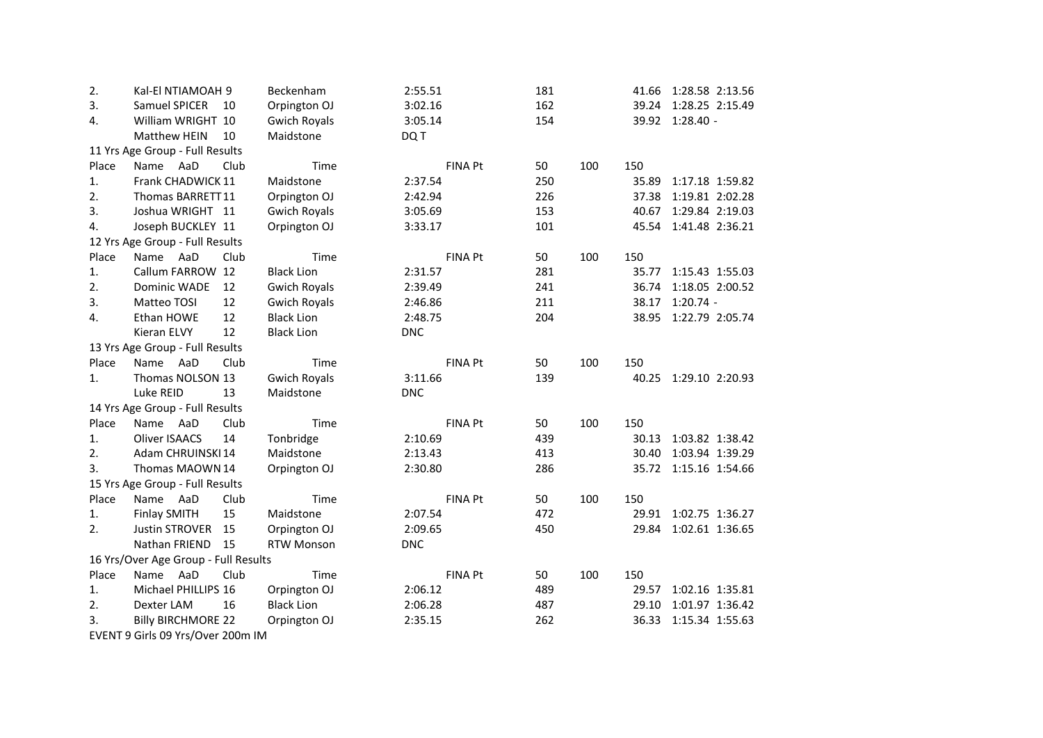| 2.    | Kal-El NTIAMOAH 9                    |      | Beckenham           | 2:55.51    |                | 181 |     | 41.66 | 1:28.58 2:13.56       |  |
|-------|--------------------------------------|------|---------------------|------------|----------------|-----|-----|-------|-----------------------|--|
| 3.    | Samuel SPICER                        | 10   | Orpington OJ        | 3:02.16    |                | 162 |     | 39.24 | 1:28.25 2:15.49       |  |
| 4.    | William WRIGHT 10                    |      | <b>Gwich Royals</b> | 3:05.14    |                | 154 |     |       | 39.92 1:28.40 -       |  |
|       | Matthew HEIN                         | 10   | Maidstone           | DQ T       |                |     |     |       |                       |  |
|       | 11 Yrs Age Group - Full Results      |      |                     |            |                |     |     |       |                       |  |
| Place | Name AaD                             | Club | Time                |            | FINA Pt        | 50  | 100 | 150   |                       |  |
| 1.    | Frank CHADWICK 11                    |      | Maidstone           | 2:37.54    |                | 250 |     | 35.89 | 1:17.18 1:59.82       |  |
| 2.    | Thomas BARRETT11                     |      | Orpington OJ        | 2:42.94    |                | 226 |     | 37.38 | 1:19.81 2:02.28       |  |
| 3.    | Joshua WRIGHT 11                     |      | <b>Gwich Royals</b> | 3:05.69    |                | 153 |     | 40.67 | 1:29.84 2:19.03       |  |
| 4.    | Joseph BUCKLEY 11                    |      | Orpington OJ        | 3:33.17    |                | 101 |     | 45.54 | 1:41.48 2:36.21       |  |
|       | 12 Yrs Age Group - Full Results      |      |                     |            |                |     |     |       |                       |  |
| Place | Name AaD                             | Club | Time                |            | <b>FINA Pt</b> | 50  | 100 | 150   |                       |  |
| 1.    | Callum FARROW 12                     |      | <b>Black Lion</b>   | 2:31.57    |                | 281 |     | 35.77 | 1:15.43 1:55.03       |  |
| 2.    | Dominic WADE                         | 12   | <b>Gwich Royals</b> | 2:39.49    |                | 241 |     | 36.74 | 1:18.05 2:00.52       |  |
| 3.    | Matteo TOSI                          | 12   | <b>Gwich Royals</b> | 2:46.86    |                | 211 |     | 38.17 | $1:20.74 -$           |  |
| 4.    | Ethan HOWE                           | 12   | <b>Black Lion</b>   | 2:48.75    |                | 204 |     |       | 38.95 1:22.79 2:05.74 |  |
|       | Kieran ELVY                          | 12   | <b>Black Lion</b>   | <b>DNC</b> |                |     |     |       |                       |  |
|       | 13 Yrs Age Group - Full Results      |      |                     |            |                |     |     |       |                       |  |
| Place | Name AaD                             | Club | Time                |            | <b>FINA Pt</b> | 50  | 100 | 150   |                       |  |
| 1.    | Thomas NOLSON 13                     |      | <b>Gwich Royals</b> | 3:11.66    |                | 139 |     |       | 40.25 1:29.10 2:20.93 |  |
|       | Luke REID                            | 13   | Maidstone           | <b>DNC</b> |                |     |     |       |                       |  |
|       | 14 Yrs Age Group - Full Results      |      |                     |            |                |     |     |       |                       |  |
| Place | Name AaD                             | Club | Time                |            | <b>FINA Pt</b> | 50  | 100 | 150   |                       |  |
| 1.    | <b>Oliver ISAACS</b>                 | 14   | Tonbridge           | 2:10.69    |                | 439 |     | 30.13 | 1:03.82 1:38.42       |  |
| 2.    | Adam CHRUINSKI 14                    |      | Maidstone           | 2:13.43    |                | 413 |     | 30.40 | 1:03.94 1:39.29       |  |
| 3.    | Thomas MAOWN 14                      |      | Orpington OJ        | 2:30.80    |                | 286 |     |       | 35.72 1:15.16 1:54.66 |  |
|       | 15 Yrs Age Group - Full Results      |      |                     |            |                |     |     |       |                       |  |
| Place | Name AaD                             | Club | Time                |            | <b>FINA Pt</b> | 50  | 100 | 150   |                       |  |
| 1.    | <b>Finlay SMITH</b>                  | 15   | Maidstone           | 2:07.54    |                | 472 |     |       | 29.91 1:02.75 1:36.27 |  |
| 2.    | <b>Justin STROVER</b>                | 15   | Orpington OJ        | 2:09.65    |                | 450 |     | 29.84 | 1:02.61 1:36.65       |  |
|       | Nathan FRIEND                        | 15   | <b>RTW Monson</b>   | <b>DNC</b> |                |     |     |       |                       |  |
|       | 16 Yrs/Over Age Group - Full Results |      |                     |            |                |     |     |       |                       |  |
| Place | Name AaD                             | Club | Time                |            | <b>FINA Pt</b> | 50  | 100 | 150   |                       |  |
| 1.    | Michael PHILLIPS 16                  |      | Orpington OJ        | 2:06.12    |                | 489 |     | 29.57 | 1:02.16 1:35.81       |  |
| 2.    | Dexter LAM                           | 16   | <b>Black Lion</b>   | 2:06.28    |                | 487 |     | 29.10 | 1:01.97 1:36.42       |  |
| 3.    | <b>Billy BIRCHMORE 22</b>            |      | Orpington OJ        | 2:35.15    |                | 262 |     | 36.33 | 1:15.34 1:55.63       |  |
|       | EVENT 9 Girls 09 Yrs/Over 200m IM    |      |                     |            |                |     |     |       |                       |  |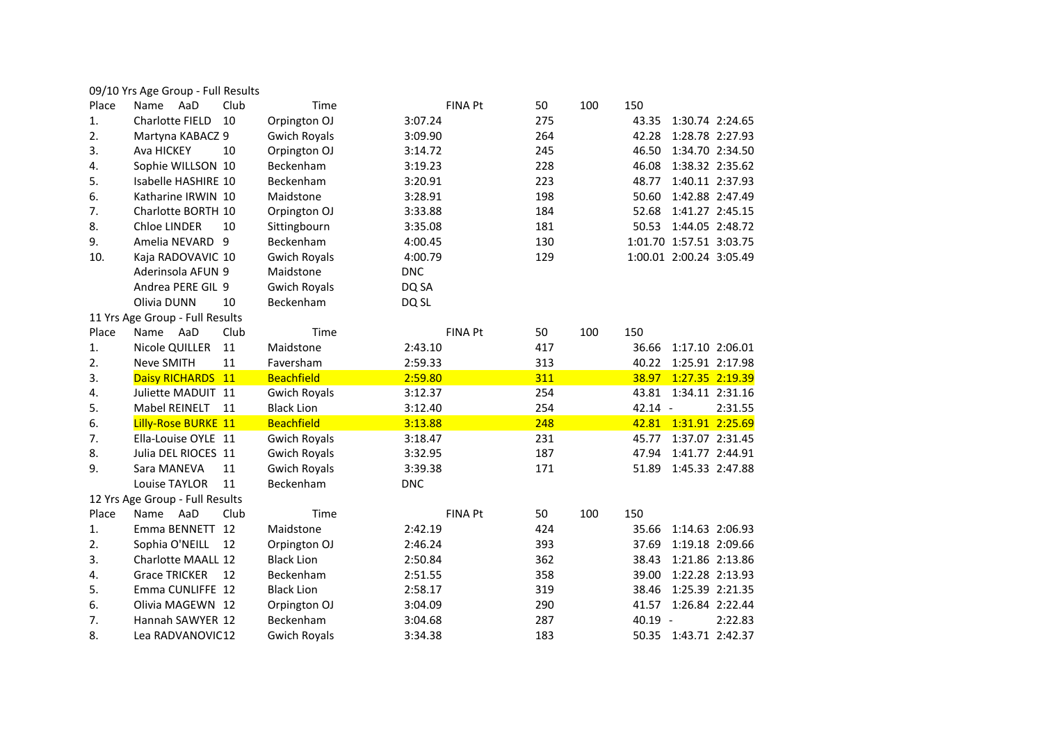| 09/10 Yrs Age Group - Full Results |  |  |  |
|------------------------------------|--|--|--|
|------------------------------------|--|--|--|

| Place | Club<br>AaD<br>Name             | Time                | <b>FINA Pt</b> | 50  | 100 | 150       |                         |
|-------|---------------------------------|---------------------|----------------|-----|-----|-----------|-------------------------|
| 1.    | <b>Charlotte FIELD</b><br>10    | Orpington OJ        | 3:07.24        | 275 |     | 43.35     | 1:30.74 2:24.65         |
| 2.    | Martyna KABACZ 9                | <b>Gwich Royals</b> | 3:09.90        | 264 |     | 42.28     | 1:28.78 2:27.93         |
| 3.    | Ava HICKEY<br>10                | Orpington OJ        | 3:14.72        | 245 |     | 46.50     | 1:34.70 2:34.50         |
| 4.    | Sophie WILLSON 10               | Beckenham           | 3:19.23        | 228 |     | 46.08     | 1:38.32 2:35.62         |
| 5.    | Isabelle HASHIRE 10             | Beckenham           | 3:20.91        | 223 |     | 48.77     | 1:40.11 2:37.93         |
| 6.    | Katharine IRWIN 10              | Maidstone           | 3:28.91        | 198 |     | 50.60     | 1:42.88 2:47.49         |
| 7.    | Charlotte BORTH 10              | Orpington OJ        | 3:33.88        | 184 |     | 52.68     | 1:41.27 2:45.15         |
| 8.    | 10<br>Chloe LINDER              | Sittingbourn        | 3:35.08        | 181 |     | 50.53     | 1:44.05 2:48.72         |
| 9.    | Amelia NEVARD<br>9              | Beckenham           | 4:00.45        | 130 |     |           | 1:01.70 1:57.51 3:03.75 |
| 10.   | Kaja RADOVAVIC 10               | <b>Gwich Royals</b> | 4:00.79        | 129 |     |           | 1:00.01 2:00.24 3:05.49 |
|       | Aderinsola AFUN 9               | Maidstone           | <b>DNC</b>     |     |     |           |                         |
|       | Andrea PERE GIL 9               | <b>Gwich Royals</b> | DQ SA          |     |     |           |                         |
|       | Olivia DUNN<br>10               | Beckenham           | DQ SL          |     |     |           |                         |
|       | 11 Yrs Age Group - Full Results |                     |                |     |     |           |                         |
| Place | AaD<br>Club<br>Name             | Time                | <b>FINA Pt</b> | 50  | 100 | 150       |                         |
| 1.    | 11<br>Nicole QUILLER            | Maidstone           | 2:43.10        | 417 |     | 36.66     | 1:17.10 2:06.01         |
| 2.    | Neve SMITH<br>11                | Faversham           | 2:59.33        | 313 |     | 40.22     | 1:25.91 2:17.98         |
| 3.    | Daisy RICHARDS 11               | <b>Beachfield</b>   | 2:59.80        | 311 |     | 38.97     | 1:27.35 2:19.39         |
| 4.    | Juliette MADUIT 11              | <b>Gwich Royals</b> | 3:12.37        | 254 |     | 43.81     | 1:34.11 2:31.16         |
| 5.    | <b>Mabel REINELT</b><br>11      | <b>Black Lion</b>   | 3:12.40        | 254 |     | $42.14 -$ | 2:31.55                 |
| 6.    | Lilly-Rose BURKE 11             | <b>Beachfield</b>   | 3:13.88        | 248 |     | 42.81     | 1:31.91 2:25.69         |
| 7.    | Ella-Louise OYLE 11             | <b>Gwich Royals</b> | 3:18.47        | 231 |     | 45.77     | 1:37.07 2:31.45         |
| 8.    | Julia DEL RIOCES 11             | <b>Gwich Royals</b> | 3:32.95        | 187 |     | 47.94     | 1:41.77 2:44.91         |
| 9.    | 11<br>Sara MANEVA               | <b>Gwich Royals</b> | 3:39.38        | 171 |     | 51.89     | 1:45.33 2:47.88         |
|       | 11<br>Louise TAYLOR             | Beckenham           | <b>DNC</b>     |     |     |           |                         |
|       | 12 Yrs Age Group - Full Results |                     |                |     |     |           |                         |
| Place | AaD<br>Club<br>Name             | Time                | <b>FINA Pt</b> | 50  | 100 | 150       |                         |
| 1.    | Emma BENNETT<br>12              | Maidstone           | 2:42.19        | 424 |     | 35.66     | 1:14.63 2:06.93         |
| 2.    | Sophia O'NEILL<br>12            | Orpington OJ        | 2:46.24        | 393 |     | 37.69     | 1:19.18 2:09.66         |
| 3.    | <b>Charlotte MAALL 12</b>       | <b>Black Lion</b>   | 2:50.84        | 362 |     | 38.43     | 1:21.86 2:13.86         |
| 4.    | <b>Grace TRICKER</b><br>12      | Beckenham           | 2:51.55        | 358 |     | 39.00     | 1:22.28 2:13.93         |
| 5.    | Emma CUNLIFFE 12                | <b>Black Lion</b>   | 2:58.17        | 319 |     | 38.46     | 1:25.39 2:21.35         |
| 6.    | Olivia MAGEWN 12                | Orpington OJ        | 3:04.09        | 290 |     | 41.57     | 1:26.84 2:22.44         |
| 7.    | Hannah SAWYER 12                | Beckenham           | 3:04.68        | 287 |     | 40.19 -   | 2:22.83                 |
| 8.    | Lea RADVANOVIC12                | <b>Gwich Royals</b> | 3:34.38        | 183 |     |           | 50.35 1:43.71 2:42.37   |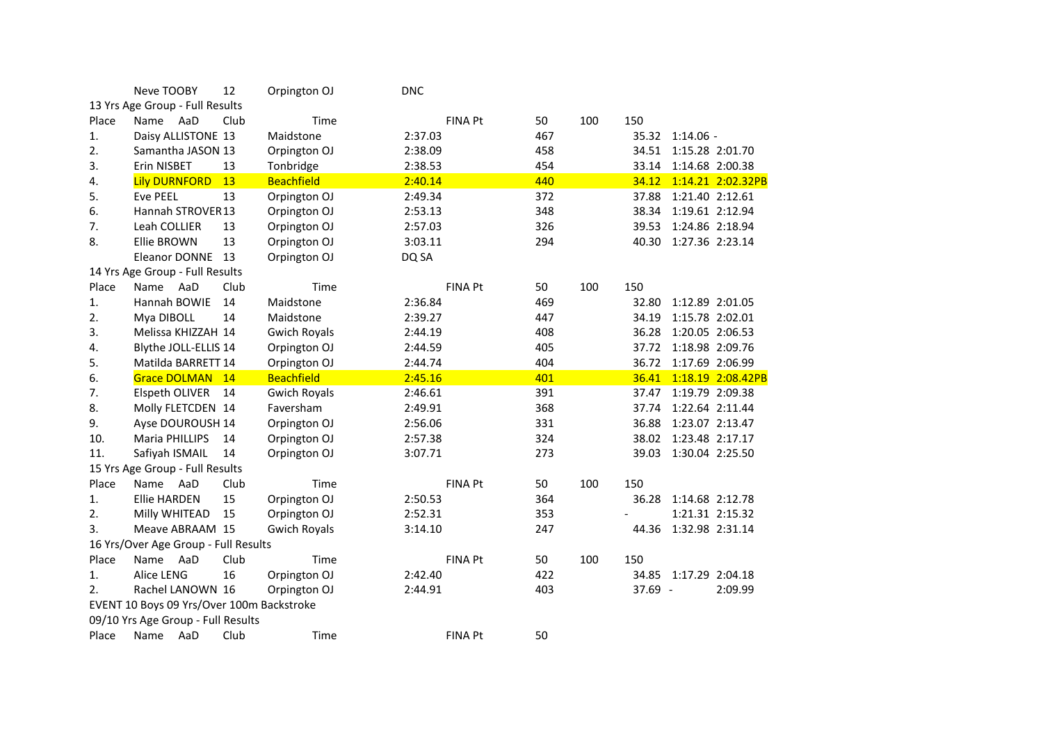|       | Neve TOOBY                                | 12   | Orpington OJ        | <b>DNC</b> |                |     |     |         |                       |                   |
|-------|-------------------------------------------|------|---------------------|------------|----------------|-----|-----|---------|-----------------------|-------------------|
|       | 13 Yrs Age Group - Full Results           |      |                     |            |                |     |     |         |                       |                   |
| Place | Name AaD                                  | Club | Time                |            | FINA Pt        | 50  | 100 | 150     |                       |                   |
| 1.    | Daisy ALLISTONE 13                        |      | Maidstone           | 2:37.03    |                | 467 |     |         | 35.32 1:14.06 -       |                   |
| 2.    | Samantha JASON 13                         |      | Orpington OJ        | 2:38.09    |                | 458 |     |         | 34.51 1:15.28 2:01.70 |                   |
| 3.    | Erin NISBET                               | 13   | Tonbridge           | 2:38.53    |                | 454 |     |         | 33.14 1:14.68 2:00.38 |                   |
| 4.    | <b>Lily DURNFORD</b>                      | 13   | <b>Beachfield</b>   | 2:40.14    |                | 440 |     | 34.12   |                       | 1:14.21 2:02.32PB |
| 5.    | <b>Eve PEEL</b>                           | 13   | Orpington OJ        | 2:49.34    |                | 372 |     | 37.88   | 1:21.40 2:12.61       |                   |
| 6.    | Hannah STROVER13                          |      | Orpington OJ        | 2:53.13    |                | 348 |     | 38.34   | 1:19.61 2:12.94       |                   |
| 7.    | Leah COLLIER                              | 13   | Orpington OJ        | 2:57.03    |                | 326 |     | 39.53   | 1:24.86 2:18.94       |                   |
| 8.    | Ellie BROWN                               | 13   | Orpington OJ        | 3:03.11    |                | 294 |     | 40.30   | 1:27.36 2:23.14       |                   |
|       | Eleanor DONNE                             | 13   | Orpington OJ        | DQ SA      |                |     |     |         |                       |                   |
|       | 14 Yrs Age Group - Full Results           |      |                     |            |                |     |     |         |                       |                   |
| Place | Name<br>AaD                               | Club | Time                |            | FINA Pt        | 50  | 100 | 150     |                       |                   |
| 1.    | Hannah BOWIE                              | 14   | Maidstone           | 2:36.84    |                | 469 |     | 32.80   | 1:12.89 2:01.05       |                   |
| 2.    | Mya DIBOLL                                | 14   | Maidstone           | 2:39.27    |                | 447 |     | 34.19   | 1:15.78 2:02.01       |                   |
| 3.    | Melissa KHIZZAH 14                        |      | <b>Gwich Royals</b> | 2:44.19    |                | 408 |     | 36.28   | 1:20.05 2:06.53       |                   |
| 4.    | Blythe JOLL-ELLIS 14                      |      | Orpington OJ        | 2:44.59    |                | 405 |     | 37.72   | 1:18.98 2:09.76       |                   |
| 5.    | Matilda BARRETT 14                        |      | Orpington OJ        | 2:44.74    |                | 404 |     | 36.72   | 1:17.69 2:06.99       |                   |
| 6.    | Grace DOLMAN 14                           |      | <b>Beachfield</b>   | 2:45.16    |                | 401 |     | 36.41   |                       | 1:18.19 2:08.42PB |
| 7.    | Elspeth OLIVER                            | 14   | <b>Gwich Royals</b> | 2:46.61    |                | 391 |     | 37.47   | 1:19.79 2:09.38       |                   |
| 8.    | Molly FLETCDEN 14                         |      | Faversham           | 2:49.91    |                | 368 |     | 37.74   | 1:22.64 2:11.44       |                   |
| 9.    | Ayse DOUROUSH 14                          |      | Orpington OJ        | 2:56.06    |                | 331 |     | 36.88   | 1:23.07 2:13.47       |                   |
| 10.   | <b>Maria PHILLIPS</b>                     | 14   | Orpington OJ        | 2:57.38    |                | 324 |     | 38.02   | 1:23.48 2:17.17       |                   |
| 11.   | Safiyah ISMAIL                            | 14   | Orpington OJ        | 3:07.71    |                | 273 |     | 39.03   | 1:30.04 2:25.50       |                   |
|       | 15 Yrs Age Group - Full Results           |      |                     |            |                |     |     |         |                       |                   |
| Place | Name AaD                                  | Club | Time                |            | <b>FINA Pt</b> | 50  | 100 | 150     |                       |                   |
| 1.    | <b>Ellie HARDEN</b>                       | 15   | Orpington OJ        | 2:50.53    |                | 364 |     | 36.28   | 1:14.68 2:12.78       |                   |
| 2.    | Milly WHITEAD                             | 15   | Orpington OJ        | 2:52.31    |                | 353 |     |         |                       | 1:21.31 2:15.32   |
| 3.    | Meave ABRAAM 15                           |      | <b>Gwich Royals</b> | 3:14.10    |                | 247 |     | 44.36   | 1:32.98 2:31.14       |                   |
|       |                                           |      |                     |            |                |     |     |         |                       |                   |
|       | 16 Yrs/Over Age Group - Full Results      |      |                     |            |                |     |     |         |                       |                   |
| Place | Name<br>AaD                               | Club | Time                |            | FINA Pt        | 50  | 100 | 150     |                       |                   |
| 1.    | Alice LENG                                | 16   | Orpington OJ        | 2:42.40    |                | 422 |     | 34.85   | 1:17.29 2:04.18       |                   |
| 2.    | Rachel LANOWN 16                          |      | Orpington OJ        | 2:44.91    |                | 403 |     | 37.69 - |                       | 2:09.99           |
|       | EVENT 10 Boys 09 Yrs/Over 100m Backstroke |      |                     |            |                |     |     |         |                       |                   |
|       | 09/10 Yrs Age Group - Full Results        |      |                     |            |                |     |     |         |                       |                   |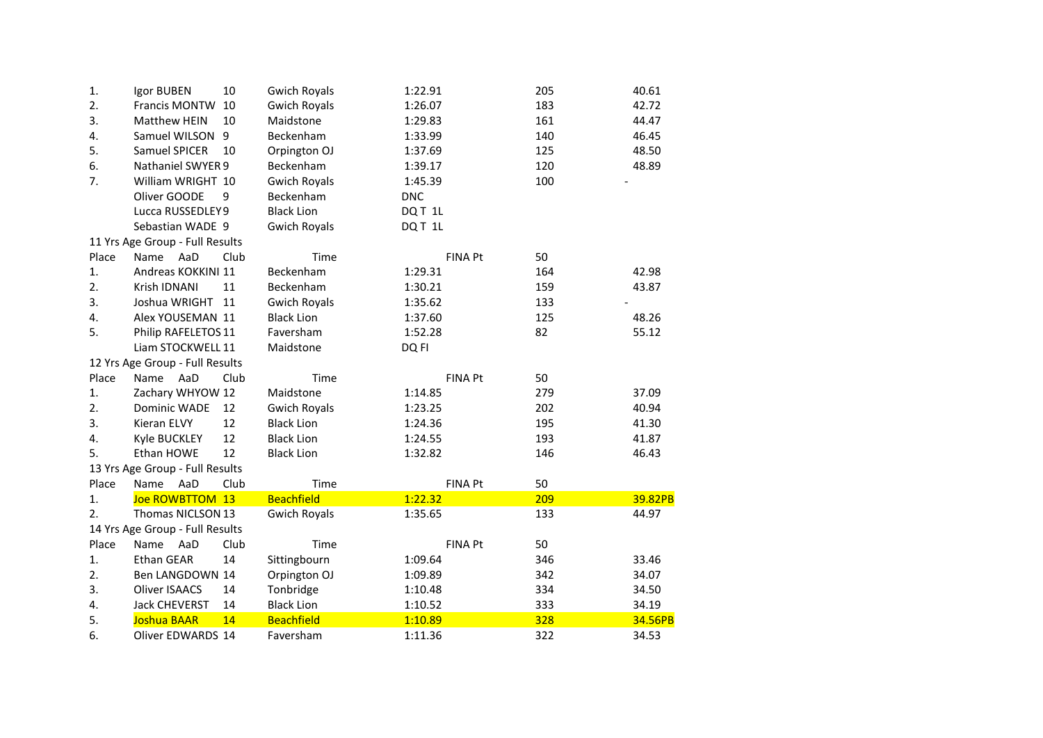| 1.    | Igor BUBEN                      | 10   | <b>Gwich Royals</b> | 1:22.91    |                | 205 | 40.61   |
|-------|---------------------------------|------|---------------------|------------|----------------|-----|---------|
| 2.    | Francis MONTW                   | 10   | <b>Gwich Royals</b> | 1:26.07    |                | 183 | 42.72   |
| 3.    | Matthew HEIN                    | 10   | Maidstone           | 1:29.83    |                | 161 | 44.47   |
| 4.    | Samuel WILSON 9                 |      | Beckenham           | 1:33.99    |                | 140 | 46.45   |
| 5.    | Samuel SPICER                   | 10   | Orpington OJ        | 1:37.69    |                | 125 | 48.50   |
| 6.    | Nathaniel SWYER 9               |      | Beckenham           | 1:39.17    |                | 120 | 48.89   |
| 7.    | William WRIGHT 10               |      | <b>Gwich Royals</b> | 1:45.39    |                | 100 |         |
|       | Oliver GOODE                    | 9    | Beckenham           | <b>DNC</b> |                |     |         |
|       | Lucca RUSSEDLEY9                |      | <b>Black Lion</b>   | DQT 1L     |                |     |         |
|       | Sebastian WADE 9                |      | <b>Gwich Royals</b> | DQT 1L     |                |     |         |
|       | 11 Yrs Age Group - Full Results |      |                     |            |                |     |         |
| Place | Name<br>AaD                     | Club | Time                |            | <b>FINA Pt</b> | 50  |         |
| 1.    | Andreas KOKKINI 11              |      | Beckenham           | 1:29.31    |                | 164 | 42.98   |
| 2.    | Krish IDNANI                    | 11   | Beckenham           | 1:30.21    |                | 159 | 43.87   |
| 3.    | Joshua WRIGHT                   | 11   | <b>Gwich Royals</b> | 1:35.62    |                | 133 |         |
| 4.    | Alex YOUSEMAN 11                |      | <b>Black Lion</b>   | 1:37.60    |                | 125 | 48.26   |
| 5.    | Philip RAFELETOS 11             |      | Faversham           | 1:52.28    |                | 82  | 55.12   |
|       | Liam STOCKWELL 11               |      | Maidstone           | DQ FI      |                |     |         |
|       | 12 Yrs Age Group - Full Results |      |                     |            |                |     |         |
| Place | Name<br>AaD                     | Club | Time                |            | <b>FINA Pt</b> | 50  |         |
| 1.    | Zachary WHYOW 12                |      | Maidstone           | 1:14.85    |                | 279 | 37.09   |
| 2.    | <b>Dominic WADE</b>             | 12   | <b>Gwich Royals</b> | 1:23.25    |                | 202 | 40.94   |
| 3.    | Kieran ELVY                     | 12   | <b>Black Lion</b>   | 1:24.36    |                | 195 | 41.30   |
| 4.    | Kyle BUCKLEY                    | 12   | <b>Black Lion</b>   | 1:24.55    |                | 193 | 41.87   |
| 5.    | Ethan HOWE                      | 12   | <b>Black Lion</b>   | 1:32.82    |                | 146 | 46.43   |
|       | 13 Yrs Age Group - Full Results |      |                     |            |                |     |         |
| Place | Name<br>AaD                     | Club | Time                |            | <b>FINA Pt</b> | 50  |         |
| 1.    | Joe ROWBTTOM 13                 |      | <b>Beachfield</b>   | 1:22.32    |                | 209 | 39.82PB |
| 2.    | Thomas NICLSON 13               |      | <b>Gwich Royals</b> | 1:35.65    |                | 133 | 44.97   |
|       | 14 Yrs Age Group - Full Results |      |                     |            |                |     |         |
| Place | AaD<br>Name                     | Club | Time                |            | <b>FINA Pt</b> | 50  |         |
| 1.    | Ethan GEAR                      | 14   | Sittingbourn        | 1:09.64    |                | 346 | 33.46   |
| 2.    | Ben LANGDOWN 14                 |      | Orpington OJ        | 1:09.89    |                | 342 | 34.07   |
| 3.    | <b>Oliver ISAACS</b>            | 14   | Tonbridge           | 1:10.48    |                | 334 | 34.50   |
| 4.    | <b>Jack CHEVERST</b>            | 14   | <b>Black Lion</b>   | 1:10.52    |                | 333 | 34.19   |
| 5.    | Joshua BAAR                     | 14   | <b>Beachfield</b>   | 1:10.89    |                | 328 | 34.56PB |
| 6.    | <b>Oliver EDWARDS 14</b>        |      | Faversham           | 1:11.36    |                | 322 | 34.53   |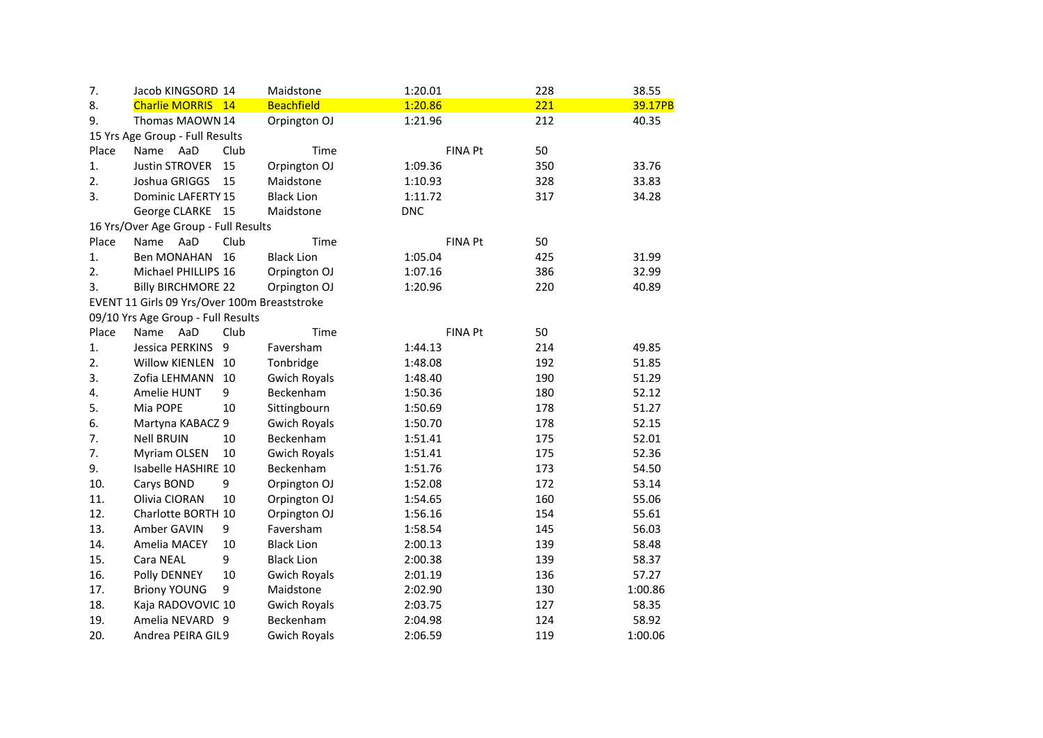| 7.    | Jacob KINGSORD 14                            |      | Maidstone           | 1:20.01        | 228 | 38.55   |
|-------|----------------------------------------------|------|---------------------|----------------|-----|---------|
| 8.    | Charlie MORRIS 14                            |      | <b>Beachfield</b>   | 1:20.86        | 221 | 39.17PB |
| 9.    | Thomas MAOWN 14                              |      | Orpington OJ        | 1:21.96        | 212 | 40.35   |
|       | 15 Yrs Age Group - Full Results              |      |                     |                |     |         |
| Place | Name<br>AaD                                  | Club | Time                | <b>FINA Pt</b> | 50  |         |
| 1.    | <b>Justin STROVER</b>                        | 15   | Orpington OJ        | 1:09.36        | 350 | 33.76   |
| 2.    | Joshua GRIGGS                                | 15   | Maidstone           | 1:10.93        | 328 | 33.83   |
| 3.    | <b>Dominic LAFERTY 15</b>                    |      | <b>Black Lion</b>   | 1:11.72        | 317 | 34.28   |
|       | George CLARKE 15                             |      | Maidstone           | <b>DNC</b>     |     |         |
|       | 16 Yrs/Over Age Group - Full Results         |      |                     |                |     |         |
| Place | Name AaD                                     | Club | Time                | <b>FINA Pt</b> | 50  |         |
| 1.    | Ben MONAHAN                                  | 16   | <b>Black Lion</b>   | 1:05.04        | 425 | 31.99   |
| 2.    | Michael PHILLIPS 16                          |      | Orpington OJ        | 1:07.16        | 386 | 32.99   |
| 3.    | <b>Billy BIRCHMORE 22</b>                    |      | Orpington OJ        | 1:20.96        | 220 | 40.89   |
|       | EVENT 11 Girls 09 Yrs/Over 100m Breaststroke |      |                     |                |     |         |
|       | 09/10 Yrs Age Group - Full Results           |      |                     |                |     |         |
| Place | Name<br>AaD                                  | Club | Time                | <b>FINA Pt</b> | 50  |         |
| 1.    | Jessica PERKINS                              | 9    | Faversham           | 1:44.13        | 214 | 49.85   |
| 2.    | <b>Willow KIENLEN</b>                        | 10   | Tonbridge           | 1:48.08        | 192 | 51.85   |
| 3.    | Zofia LEHMANN                                | 10   | <b>Gwich Royals</b> | 1:48.40        | 190 | 51.29   |
| 4.    | Amelie HUNT                                  | 9    | Beckenham           | 1:50.36        | 180 | 52.12   |
| 5.    | Mia POPE                                     | 10   | Sittingbourn        | 1:50.69        | 178 | 51.27   |
| 6.    | Martyna KABACZ 9                             |      | <b>Gwich Royals</b> | 1:50.70        | 178 | 52.15   |
| 7.    | <b>Nell BRUIN</b>                            | 10   | Beckenham           | 1:51.41        | 175 | 52.01   |
| 7.    | Myriam OLSEN                                 | 10   | <b>Gwich Royals</b> | 1:51.41        | 175 | 52.36   |
| 9.    | Isabelle HASHIRE 10                          |      | Beckenham           | 1:51.76        | 173 | 54.50   |
| 10.   | Carys BOND                                   | 9    | Orpington OJ        | 1:52.08        | 172 | 53.14   |
| 11.   | Olivia CIORAN                                | 10   | Orpington OJ        | 1:54.65        | 160 | 55.06   |
| 12.   | Charlotte BORTH 10                           |      | Orpington OJ        | 1:56.16        | 154 | 55.61   |
| 13.   | Amber GAVIN                                  | 9    | Faversham           | 1:58.54        | 145 | 56.03   |
| 14.   | Amelia MACEY                                 | 10   | <b>Black Lion</b>   | 2:00.13        | 139 | 58.48   |
| 15.   | Cara NEAL                                    | 9    | <b>Black Lion</b>   | 2:00.38        | 139 | 58.37   |
| 16.   | Polly DENNEY                                 | 10   | <b>Gwich Royals</b> | 2:01.19        | 136 | 57.27   |
| 17.   | <b>Briony YOUNG</b>                          | 9    | Maidstone           | 2:02.90        | 130 | 1:00.86 |
| 18.   | Kaja RADOVOVIC 10                            |      | <b>Gwich Royals</b> | 2:03.75        | 127 | 58.35   |
| 19.   | Amelia NEVARD 9                              |      | Beckenham           | 2:04.98        | 124 | 58.92   |
| 20.   | Andrea PEIRA GIL9                            |      | <b>Gwich Royals</b> | 2:06.59        | 119 | 1:00.06 |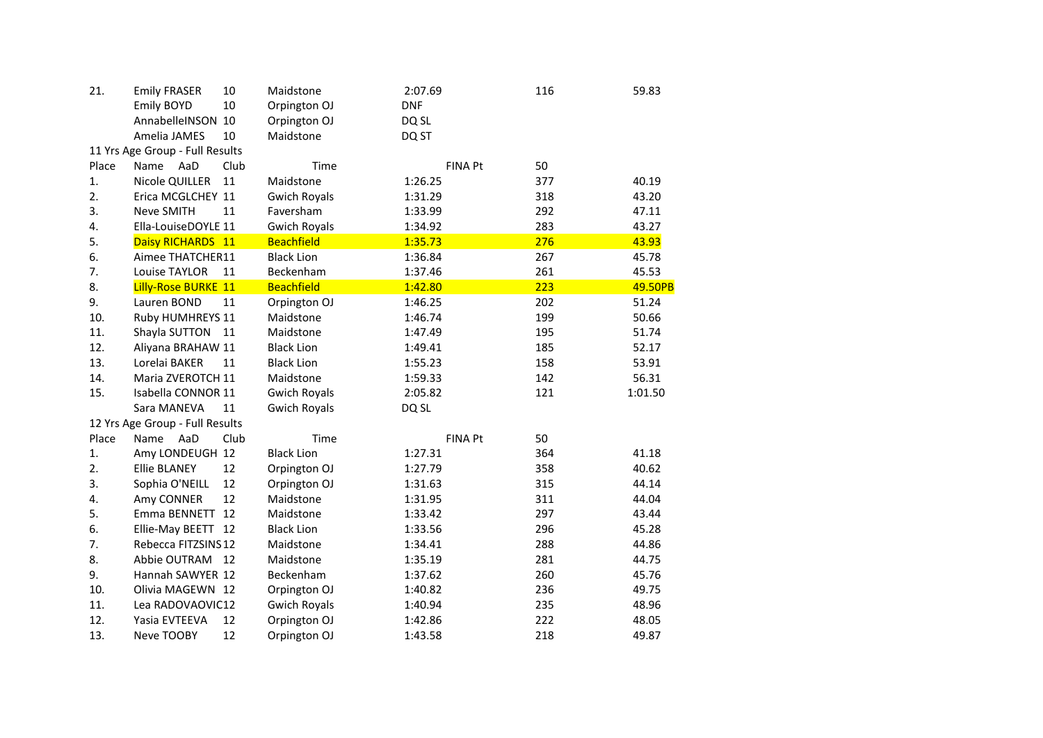| 21.   | <b>Emily FRASER</b>             | 10   | Maidstone           | 2:07.69    |                | 116 | 59.83   |
|-------|---------------------------------|------|---------------------|------------|----------------|-----|---------|
|       | Emily BOYD                      | 10   | Orpington OJ        | <b>DNF</b> |                |     |         |
|       | AnnabelleINSON 10               |      | Orpington OJ        | DQ SL      |                |     |         |
|       | Amelia JAMES                    | 10   | Maidstone           | DQ ST      |                |     |         |
|       | 11 Yrs Age Group - Full Results |      |                     |            |                |     |         |
| Place | Name<br>AaD                     | Club | Time                |            | <b>FINA Pt</b> | 50  |         |
| 1.    | Nicole QUILLER                  | 11   | Maidstone           | 1:26.25    |                | 377 | 40.19   |
| 2.    | Erica MCGLCHEY 11               |      | <b>Gwich Royals</b> | 1:31.29    |                | 318 | 43.20   |
| 3.    | Neve SMITH                      | 11   | Faversham           | 1:33.99    |                | 292 | 47.11   |
| 4.    | Ella-LouiseDOYLE 11             |      | <b>Gwich Royals</b> | 1:34.92    |                | 283 | 43.27   |
| 5.    | Daisy RICHARDS 11               |      | <b>Beachfield</b>   | 1:35.73    |                | 276 | 43.93   |
| 6.    | Aimee THATCHER11                |      | <b>Black Lion</b>   | 1:36.84    |                | 267 | 45.78   |
| 7.    | Louise TAYLOR                   | 11   | Beckenham           | 1:37.46    |                | 261 | 45.53   |
| 8.    | Lilly-Rose BURKE 11             |      | <b>Beachfield</b>   | 1:42.80    |                | 223 | 49.50PB |
| 9.    | Lauren BOND                     | 11   | Orpington OJ        | 1:46.25    |                | 202 | 51.24   |
| 10.   | Ruby HUMHREYS 11                |      | Maidstone           | 1:46.74    |                | 199 | 50.66   |
| 11.   | Shayla SUTTON                   | 11   | Maidstone           | 1:47.49    |                | 195 | 51.74   |
| 12.   | Aliyana BRAHAW 11               |      | <b>Black Lion</b>   | 1:49.41    |                | 185 | 52.17   |
| 13.   | Lorelai BAKER                   | 11   | <b>Black Lion</b>   | 1:55.23    |                | 158 | 53.91   |
| 14.   | Maria ZVEROTCH 11               |      | Maidstone           | 1:59.33    |                | 142 | 56.31   |
| 15.   | Isabella CONNOR 11              |      | <b>Gwich Royals</b> | 2:05.82    |                | 121 | 1:01.50 |
|       | Sara MANEVA                     | 11   | <b>Gwich Royals</b> | DQ SL      |                |     |         |
|       | 12 Yrs Age Group - Full Results |      |                     |            |                |     |         |
| Place | Name<br>AaD                     | Club | Time                |            | <b>FINA Pt</b> | 50  |         |
| 1.    | Amy LONDEUGH 12                 |      | <b>Black Lion</b>   | 1:27.31    |                | 364 | 41.18   |
| 2.    | <b>Ellie BLANEY</b>             | 12   | Orpington OJ        | 1:27.79    |                | 358 | 40.62   |
| 3.    | Sophia O'NEILL                  | 12   | Orpington OJ        | 1:31.63    |                | 315 | 44.14   |
| 4.    | Amy CONNER                      | 12   | Maidstone           | 1:31.95    |                | 311 | 44.04   |
| 5.    | Emma BENNETT 12                 |      | Maidstone           | 1:33.42    |                | 297 | 43.44   |
| 6.    | Ellie-May BEETT 12              |      | <b>Black Lion</b>   | 1:33.56    |                | 296 | 45.28   |
| 7.    | Rebecca FITZSINS12              |      | Maidstone           | 1:34.41    |                | 288 | 44.86   |
| 8.    | Abbie OUTRAM                    | 12   | Maidstone           | 1:35.19    |                | 281 | 44.75   |
| 9.    | Hannah SAWYER 12                |      | Beckenham           | 1:37.62    |                | 260 | 45.76   |
| 10.   | Olivia MAGEWN 12                |      | Orpington OJ        | 1:40.82    |                | 236 | 49.75   |
| 11.   | Lea RADOVAOVIC12                |      | <b>Gwich Royals</b> | 1:40.94    |                | 235 | 48.96   |
| 12.   | Yasia EVTEEVA                   | 12   | Orpington OJ        | 1:42.86    |                | 222 | 48.05   |
| 13.   | Neve TOOBY                      | 12   | Orpington OJ        | 1:43.58    |                | 218 | 49.87   |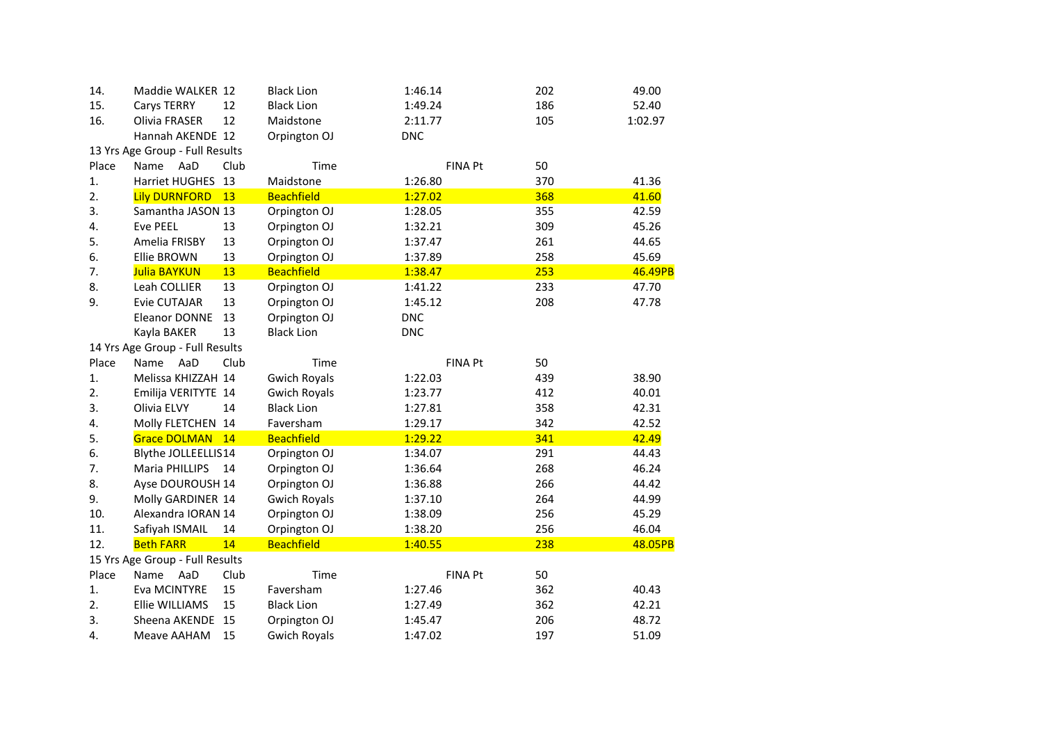| 14.   | Maddie WALKER 12                |      | <b>Black Lion</b>   | 1:46.14    |                | 202 | 49.00   |
|-------|---------------------------------|------|---------------------|------------|----------------|-----|---------|
| 15.   | Carys TERRY                     | 12   | <b>Black Lion</b>   | 1:49.24    |                | 186 | 52.40   |
| 16.   | Olivia FRASER                   | 12   | Maidstone           | 2:11.77    |                | 105 | 1:02.97 |
|       | Hannah AKENDE 12                |      | Orpington OJ        | <b>DNC</b> |                |     |         |
|       | 13 Yrs Age Group - Full Results |      |                     |            |                |     |         |
| Place | Name<br>AaD                     | Club | Time                |            | <b>FINA Pt</b> | 50  |         |
| 1.    | Harriet HUGHES                  | 13   | Maidstone           | 1:26.80    |                | 370 | 41.36   |
| 2.    | <b>Lily DURNFORD</b>            | 13   | <b>Beachfield</b>   | 1:27.02    |                | 368 | 41.60   |
| 3.    | Samantha JASON 13               |      | Orpington OJ        | 1:28.05    |                | 355 | 42.59   |
| 4.    | <b>Eve PEEL</b>                 | 13   | Orpington OJ        | 1:32.21    |                | 309 | 45.26   |
| 5.    | Amelia FRISBY                   | 13   | Orpington OJ        | 1:37.47    |                | 261 | 44.65   |
| 6.    | <b>Ellie BROWN</b>              | 13   | Orpington OJ        | 1:37.89    |                | 258 | 45.69   |
| 7.    | Julia BAYKUN                    | 13   | <b>Beachfield</b>   | 1:38.47    |                | 253 | 46.49PB |
| 8.    | Leah COLLIER                    | 13   | Orpington OJ        | 1:41.22    |                | 233 | 47.70   |
| 9.    | <b>Evie CUTAJAR</b>             | 13   | Orpington OJ        | 1:45.12    |                | 208 | 47.78   |
|       | <b>Eleanor DONNE</b>            | 13   | Orpington OJ        | <b>DNC</b> |                |     |         |
|       | Kayla BAKER                     | 13   | <b>Black Lion</b>   | <b>DNC</b> |                |     |         |
|       | 14 Yrs Age Group - Full Results |      |                     |            |                |     |         |
| Place | AaD<br>Name                     | Club | Time                |            | <b>FINA Pt</b> | 50  |         |
| 1.    | Melissa KHIZZAH 14              |      | <b>Gwich Royals</b> | 1:22.03    |                | 439 | 38.90   |
| 2.    | Emilija VERITYTE 14             |      | <b>Gwich Royals</b> | 1:23.77    |                | 412 | 40.01   |
| 3.    | Olivia ELVY                     | 14   | <b>Black Lion</b>   | 1:27.81    |                | 358 | 42.31   |
| 4.    | Molly FLETCHEN 14               |      | Faversham           | 1:29.17    |                | 342 | 42.52   |
| 5.    | Grace DOLMAN 14                 |      | <b>Beachfield</b>   | 1:29.22    |                | 341 | 42.49   |
| 6.    | Blythe JOLLEELLIS14             |      | Orpington OJ        | 1:34.07    |                | 291 | 44.43   |
| 7.    | <b>Maria PHILLIPS</b>           | 14   | Orpington OJ        | 1:36.64    |                | 268 | 46.24   |
| 8.    | Ayse DOUROUSH 14                |      | Orpington OJ        | 1:36.88    |                | 266 | 44.42   |
| 9.    | Molly GARDINER 14               |      | <b>Gwich Royals</b> | 1:37.10    |                | 264 | 44.99   |
| 10.   | Alexandra IORAN 14              |      | Orpington OJ        | 1:38.09    |                | 256 | 45.29   |
| 11.   | Safiyah ISMAIL                  | 14   | Orpington OJ        | 1:38.20    |                | 256 | 46.04   |
| 12.   | <b>Beth FARR</b>                | 14   | <b>Beachfield</b>   | 1:40.55    |                | 238 | 48.05PB |
|       | 15 Yrs Age Group - Full Results |      |                     |            |                |     |         |
| Place | AaD<br>Name                     | Club | Time                |            | <b>FINA Pt</b> | 50  |         |
| 1.    | Eva MCINTYRE                    | 15   | Faversham           | 1:27.46    |                | 362 | 40.43   |
| 2.    | Ellie WILLIAMS                  | 15   | <b>Black Lion</b>   | 1:27.49    |                | 362 | 42.21   |
| 3.    | Sheena AKENDE                   | 15   | Orpington OJ        | 1:45.47    |                | 206 | 48.72   |
| 4.    | Meave AAHAM                     | 15   | <b>Gwich Royals</b> | 1:47.02    |                | 197 | 51.09   |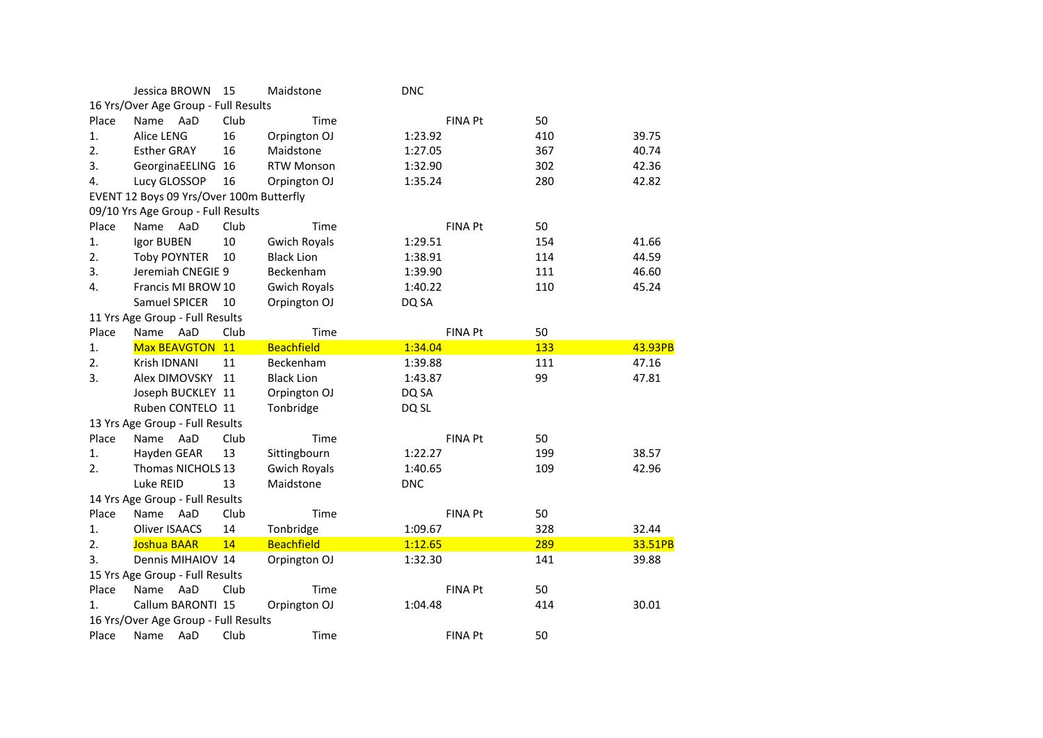|       | Jessica BROWN                            | 15   | Maidstone           | <b>DNC</b> |                |     |         |
|-------|------------------------------------------|------|---------------------|------------|----------------|-----|---------|
|       | 16 Yrs/Over Age Group - Full Results     |      |                     |            |                |     |         |
| Place | AaD<br>Name                              | Club | Time                |            | <b>FINA Pt</b> | 50  |         |
| 1.    | Alice LENG                               | 16   | Orpington OJ        | 1:23.92    |                | 410 | 39.75   |
| 2.    | <b>Esther GRAY</b>                       | 16   | Maidstone           | 1:27.05    |                | 367 | 40.74   |
| 3.    | GeorginaEELING 16                        |      | <b>RTW Monson</b>   | 1:32.90    |                | 302 | 42.36   |
| 4.    | Lucy GLOSSOP                             | 16   | Orpington OJ        | 1:35.24    |                | 280 | 42.82   |
|       | EVENT 12 Boys 09 Yrs/Over 100m Butterfly |      |                     |            |                |     |         |
|       | 09/10 Yrs Age Group - Full Results       |      |                     |            |                |     |         |
| Place | Name<br>AaD                              | Club | Time                |            | <b>FINA Pt</b> | 50  |         |
| 1.    | Igor BUBEN                               | 10   | <b>Gwich Royals</b> | 1:29.51    |                | 154 | 41.66   |
| 2.    | <b>Toby POYNTER</b>                      | 10   | <b>Black Lion</b>   | 1:38.91    |                | 114 | 44.59   |
| 3.    | Jeremiah CNEGIE 9                        |      | Beckenham           | 1:39.90    |                | 111 | 46.60   |
| 4.    | Francis MI BROW 10                       |      | <b>Gwich Royals</b> | 1:40.22    |                | 110 | 45.24   |
|       | Samuel SPICER                            | 10   | Orpington OJ        | DQ SA      |                |     |         |
|       | 11 Yrs Age Group - Full Results          |      |                     |            |                |     |         |
| Place | AaD<br>Name                              | Club | Time                |            | <b>FINA Pt</b> | 50  |         |
| 1.    | Max BEAVGTON 11                          |      | <b>Beachfield</b>   | 1:34.04    |                | 133 | 43.93PB |
| 2.    | Krish IDNANI                             | 11   | Beckenham           | 1:39.88    |                | 111 | 47.16   |
| 3.    | Alex DIMOVSKY                            | 11   | <b>Black Lion</b>   | 1:43.87    |                | 99  | 47.81   |
|       | Joseph BUCKLEY 11                        |      | Orpington OJ        | DQ SA      |                |     |         |
|       | Ruben CONTELO 11                         |      | Tonbridge           | DQ SL      |                |     |         |
|       | 13 Yrs Age Group - Full Results          |      |                     |            |                |     |         |
| Place | Name<br>AaD                              | Club | Time                |            | <b>FINA Pt</b> | 50  |         |
| 1.    | Hayden GEAR                              | 13   | Sittingbourn        | 1:22.27    |                | 199 | 38.57   |
| 2.    | Thomas NICHOLS 13                        |      | <b>Gwich Royals</b> | 1:40.65    |                | 109 | 42.96   |
|       | Luke REID                                | 13   | Maidstone           | <b>DNC</b> |                |     |         |
|       | 14 Yrs Age Group - Full Results          |      |                     |            |                |     |         |
| Place | AaD<br>Name                              | Club | Time                |            | <b>FINA Pt</b> | 50  |         |
| 1.    | <b>Oliver ISAACS</b>                     | 14   | Tonbridge           | 1:09.67    |                | 328 | 32.44   |
| 2.    | <b>Joshua BAAR</b>                       | 14   | <b>Beachfield</b>   | 1:12.65    |                | 289 | 33.51PB |
| 3.    | Dennis MIHAIOV 14                        |      | Orpington OJ        | 1:32.30    |                | 141 | 39.88   |
|       | 15 Yrs Age Group - Full Results          |      |                     |            |                |     |         |
| Place | AaD<br>Name                              | Club | Time                |            | FINA Pt        | 50  |         |
| 1.    | Callum BARONTI 15                        |      | Orpington OJ        | 1:04.48    |                | 414 | 30.01   |
|       | 16 Yrs/Over Age Group - Full Results     |      |                     |            |                |     |         |
| Place | AaD<br>Name                              | Club | Time                |            | <b>FINA Pt</b> | 50  |         |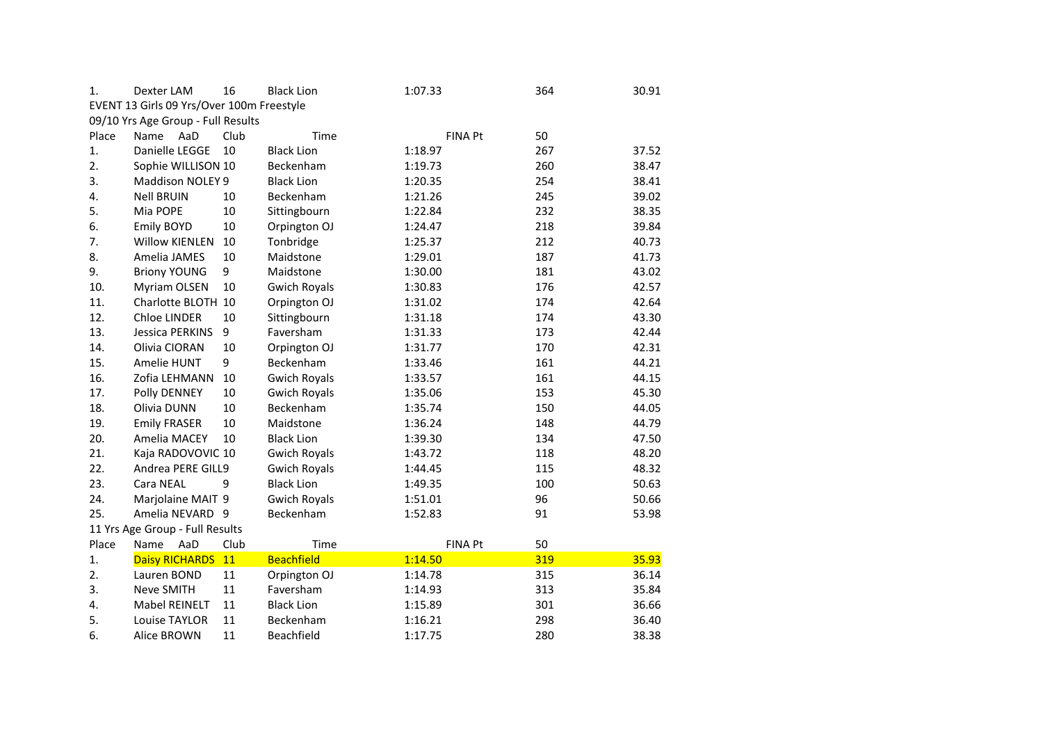| 1.    | Dexter LAM                                | 16   | <b>Black Lion</b>   | 1:07.33        | 364 | 30.91 |
|-------|-------------------------------------------|------|---------------------|----------------|-----|-------|
|       | EVENT 13 Girls 09 Yrs/Over 100m Freestyle |      |                     |                |     |       |
|       | 09/10 Yrs Age Group - Full Results        |      |                     |                |     |       |
| Place | Name<br>AaD                               | Club | Time                | <b>FINA Pt</b> | 50  |       |
| 1.    | Danielle LEGGE                            | 10   | <b>Black Lion</b>   | 1:18.97        | 267 | 37.52 |
| 2.    | Sophie WILLISON 10                        |      | Beckenham           | 1:19.73        | 260 | 38.47 |
| 3.    | Maddison NOLEY 9                          |      | <b>Black Lion</b>   | 1:20.35        | 254 | 38.41 |
| 4.    | <b>Nell BRUIN</b>                         | 10   | Beckenham           | 1:21.26        | 245 | 39.02 |
| 5.    | Mia POPE                                  | 10   | Sittingbourn        | 1:22.84        | 232 | 38.35 |
| 6.    | <b>Emily BOYD</b>                         | 10   | Orpington OJ        | 1:24.47        | 218 | 39.84 |
| 7.    | <b>Willow KIENLEN</b>                     | 10   | Tonbridge           | 1:25.37        | 212 | 40.73 |
| 8.    | Amelia JAMES                              | 10   | Maidstone           | 1:29.01        | 187 | 41.73 |
| 9.    | <b>Briony YOUNG</b>                       | 9    | Maidstone           | 1:30.00        | 181 | 43.02 |
| 10.   | Myriam OLSEN                              | 10   | <b>Gwich Royals</b> | 1:30.83        | 176 | 42.57 |
| 11.   | Charlotte BLOTH 10                        |      | Orpington OJ        | 1:31.02        | 174 | 42.64 |
| 12.   | Chloe LINDER                              | 10   | Sittingbourn        | 1:31.18        | 174 | 43.30 |
| 13.   | Jessica PERKINS                           | 9    | Faversham           | 1:31.33        | 173 | 42.44 |
| 14.   | Olivia CIORAN                             | 10   | Orpington OJ        | 1:31.77        | 170 | 42.31 |
| 15.   | Amelie HUNT                               | 9    | Beckenham           | 1:33.46        | 161 | 44.21 |
| 16.   | Zofia LEHMANN                             | 10   | <b>Gwich Royals</b> | 1:33.57        | 161 | 44.15 |
| 17.   | Polly DENNEY                              | 10   | <b>Gwich Royals</b> | 1:35.06        | 153 | 45.30 |
| 18.   | Olivia DUNN                               | 10   | Beckenham           | 1:35.74        | 150 | 44.05 |
| 19.   | <b>Emily FRASER</b>                       | 10   | Maidstone           | 1:36.24        | 148 | 44.79 |
| 20.   | Amelia MACEY                              | 10   | <b>Black Lion</b>   | 1:39.30        | 134 | 47.50 |
| 21.   | Kaja RADOVOVIC 10                         |      | <b>Gwich Royals</b> | 1:43.72        | 118 | 48.20 |
| 22.   | Andrea PERE GILL9                         |      | <b>Gwich Royals</b> | 1:44.45        | 115 | 48.32 |
| 23.   | Cara NEAL                                 | 9    | <b>Black Lion</b>   | 1:49.35        | 100 | 50.63 |
| 24.   | Marjolaine MAIT 9                         |      | <b>Gwich Royals</b> | 1:51.01        | 96  | 50.66 |
| 25.   | Amelia NEVARD 9                           |      | Beckenham           | 1:52.83        | 91  | 53.98 |
|       | 11 Yrs Age Group - Full Results           |      |                     |                |     |       |
| Place | AaD<br>Name                               | Club | Time                | FINA Pt        | 50  |       |
| 1.    | <b>Daisy RICHARDS</b>                     | 11   | <b>Beachfield</b>   | 1:14.50        | 319 | 35.93 |
| 2.    | Lauren BOND                               | 11   | Orpington OJ        | 1:14.78        | 315 | 36.14 |
| 3.    | Neve SMITH                                | 11   | Faversham           | 1:14.93        | 313 | 35.84 |
| 4.    | Mabel REINELT                             | 11   | <b>Black Lion</b>   | 1:15.89        | 301 | 36.66 |
| 5.    | Louise TAYLOR                             | 11   | Beckenham           | 1:16.21        | 298 | 36.40 |
| 6.    | <b>Alice BROWN</b>                        | 11   | Beachfield          | 1:17.75        | 280 | 38.38 |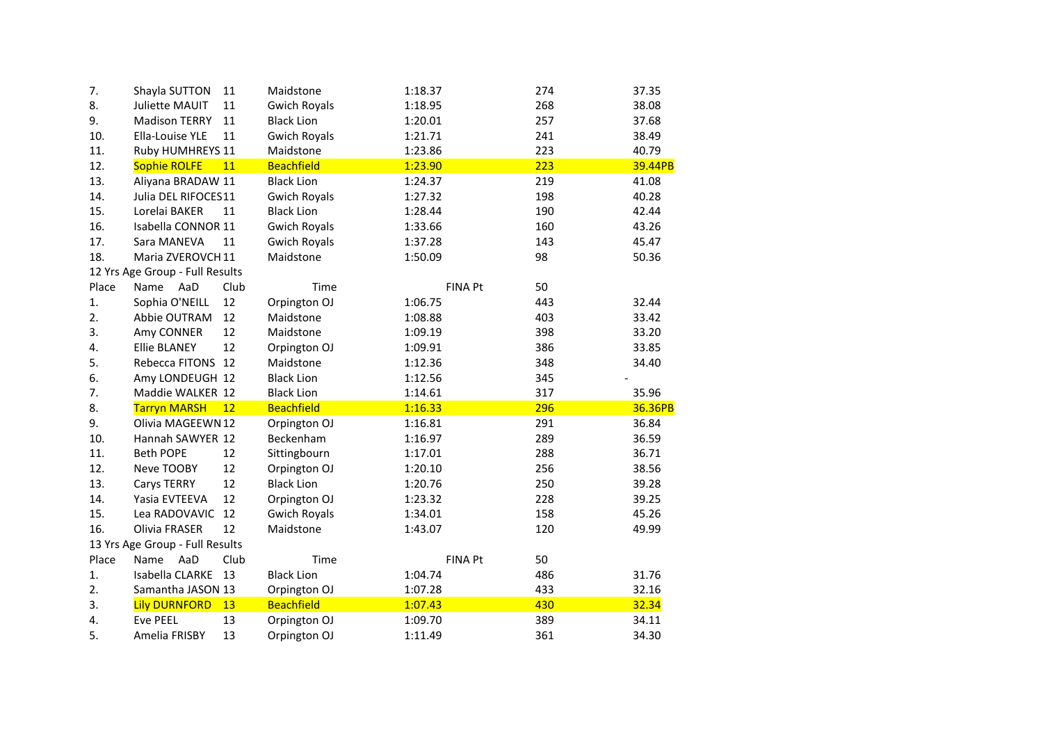| 7.    | Shayla SUTTON                   | 11   | Maidstone           | 1:18.37        | 274 | 37.35   |
|-------|---------------------------------|------|---------------------|----------------|-----|---------|
| 8.    | Juliette MAUIT                  | 11   | <b>Gwich Royals</b> | 1:18.95        | 268 | 38.08   |
| 9.    | <b>Madison TERRY</b>            | 11   | <b>Black Lion</b>   | 1:20.01        | 257 | 37.68   |
| 10.   | Ella-Louise YLE                 | 11   | <b>Gwich Royals</b> | 1:21.71        | 241 | 38.49   |
| 11.   | Ruby HUMHREYS 11                |      | Maidstone           | 1:23.86        | 223 | 40.79   |
| 12.   | <b>Sophie ROLFE</b>             | 11   | <b>Beachfield</b>   | 1:23.90        | 223 | 39.44PB |
| 13.   | Aliyana BRADAW 11               |      | <b>Black Lion</b>   | 1:24.37        | 219 | 41.08   |
| 14.   | Julia DEL RIFOCES11             |      | <b>Gwich Royals</b> | 1:27.32        | 198 | 40.28   |
| 15.   | Lorelai BAKER                   | 11   | <b>Black Lion</b>   | 1:28.44        | 190 | 42.44   |
| 16.   | Isabella CONNOR 11              |      | <b>Gwich Royals</b> | 1:33.66        | 160 | 43.26   |
| 17.   | Sara MANEVA                     | 11   | <b>Gwich Royals</b> | 1:37.28        | 143 | 45.47   |
| 18.   | Maria ZVEROVCH 11               |      | Maidstone           | 1:50.09        | 98  | 50.36   |
|       | 12 Yrs Age Group - Full Results |      |                     |                |     |         |
| Place | AaD<br>Name                     | Club | Time                | FINA Pt        | 50  |         |
| 1.    | Sophia O'NEILL                  | 12   | Orpington OJ        | 1:06.75        | 443 | 32.44   |
| 2.    | Abbie OUTRAM                    | 12   | Maidstone           | 1:08.88        | 403 | 33.42   |
| 3.    | Amy CONNER                      | 12   | Maidstone           | 1:09.19        | 398 | 33.20   |
| 4.    | <b>Ellie BLANEY</b>             | 12   | Orpington OJ        | 1:09.91        | 386 | 33.85   |
| 5.    | Rebecca FITONS 12               |      | Maidstone           | 1:12.36        | 348 | 34.40   |
| 6.    | Amy LONDEUGH 12                 |      | <b>Black Lion</b>   | 1:12.56        | 345 |         |
| 7.    | Maddie WALKER 12                |      | <b>Black Lion</b>   | 1:14.61        | 317 | 35.96   |
| 8.    | <b>Tarryn MARSH</b>             | 12   | <b>Beachfield</b>   | 1:16.33        | 296 | 36.36PB |
| 9.    | Olivia MAGEEWN 12               |      | Orpington OJ        | 1:16.81        | 291 | 36.84   |
| 10.   | Hannah SAWYER 12                |      | Beckenham           | 1:16.97        | 289 | 36.59   |
| 11.   | <b>Beth POPE</b>                | 12   | Sittingbourn        | 1:17.01        | 288 | 36.71   |
| 12.   | Neve TOOBY                      | 12   | Orpington OJ        | 1:20.10        | 256 | 38.56   |
| 13.   | Carys TERRY                     | 12   | <b>Black Lion</b>   | 1:20.76        | 250 | 39.28   |
| 14.   | Yasia EVTEEVA                   | 12   | Orpington OJ        | 1:23.32        | 228 | 39.25   |
| 15.   | Lea RADOVAVIC                   | 12   | <b>Gwich Royals</b> | 1:34.01        | 158 | 45.26   |
| 16.   | Olivia FRASER                   | 12   | Maidstone           | 1:43.07        | 120 | 49.99   |
|       | 13 Yrs Age Group - Full Results |      |                     |                |     |         |
| Place | AaD<br>Name                     | Club | Time                | <b>FINA Pt</b> | 50  |         |
| 1.    | Isabella CLARKE                 | 13   | <b>Black Lion</b>   | 1:04.74        | 486 | 31.76   |
| 2.    | Samantha JASON 13               |      | Orpington OJ        | 1:07.28        | 433 | 32.16   |
| 3.    | <b>Lily DURNFORD</b>            | 13   | <b>Beachfield</b>   | 1:07.43        | 430 | 32.34   |
| 4.    | <b>Eve PEEL</b>                 | 13   | Orpington OJ        | 1:09.70        | 389 | 34.11   |
| 5.    | Amelia FRISBY                   | 13   | Orpington OJ        | 1:11.49        | 361 | 34.30   |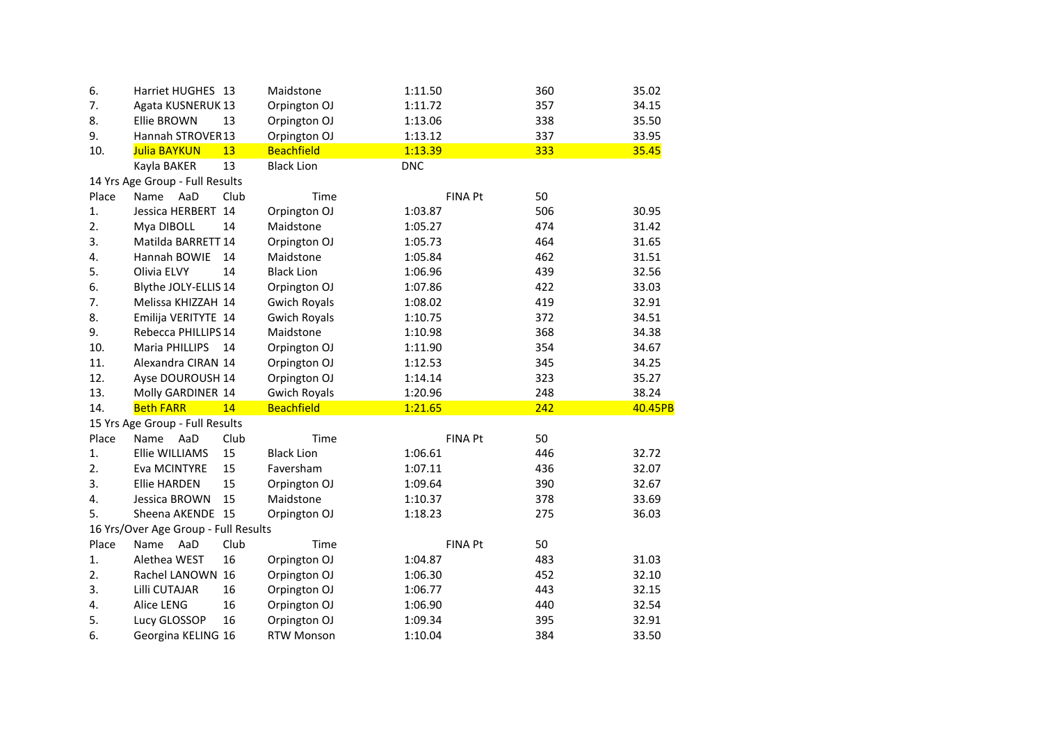| 6.    | Harriet HUGHES 13                    |      | Maidstone           | 1:11.50        | 360 | 35.02   |
|-------|--------------------------------------|------|---------------------|----------------|-----|---------|
| 7.    | Agata KUSNERUK 13                    |      | Orpington OJ        | 1:11.72        | 357 | 34.15   |
| 8.    | <b>Ellie BROWN</b>                   | 13   | Orpington OJ        | 1:13.06        | 338 | 35.50   |
| 9.    | Hannah STROVER13                     |      | Orpington OJ        | 1:13.12        | 337 | 33.95   |
| 10.   | Julia BAYKUN                         | 13   | <b>Beachfield</b>   | 1:13.39        | 333 | 35.45   |
|       | Kayla BAKER                          | 13   | <b>Black Lion</b>   | <b>DNC</b>     |     |         |
|       | 14 Yrs Age Group - Full Results      |      |                     |                |     |         |
| Place | Name<br>AaD                          | Club | Time                | <b>FINA Pt</b> | 50  |         |
| 1.    | Jessica HERBERT 14                   |      | Orpington OJ        | 1:03.87        | 506 | 30.95   |
| 2.    | Mya DIBOLL                           | 14   | Maidstone           | 1:05.27        | 474 | 31.42   |
| 3.    | Matilda BARRETT 14                   |      | Orpington OJ        | 1:05.73        | 464 | 31.65   |
| 4.    | Hannah BOWIE                         | 14   | Maidstone           | 1:05.84        | 462 | 31.51   |
| 5.    | Olivia ELVY                          | 14   | <b>Black Lion</b>   | 1:06.96        | 439 | 32.56   |
| 6.    | Blythe JOLY-ELLIS 14                 |      | Orpington OJ        | 1:07.86        | 422 | 33.03   |
| 7.    | Melissa KHIZZAH 14                   |      | <b>Gwich Royals</b> | 1:08.02        | 419 | 32.91   |
| 8.    | Emilija VERITYTE 14                  |      | <b>Gwich Royals</b> | 1:10.75        | 372 | 34.51   |
| 9.    | Rebecca PHILLIPS 14                  |      | Maidstone           | 1:10.98        | 368 | 34.38   |
| 10.   | <b>Maria PHILLIPS</b>                | 14   | Orpington OJ        | 1:11.90        | 354 | 34.67   |
| 11.   | Alexandra CIRAN 14                   |      | Orpington OJ        | 1:12.53        | 345 | 34.25   |
| 12.   | Ayse DOUROUSH 14                     |      | Orpington OJ        | 1:14.14        | 323 | 35.27   |
| 13.   | Molly GARDINER 14                    |      | <b>Gwich Royals</b> | 1:20.96        | 248 | 38.24   |
| 14.   | <b>Beth FARR</b>                     | 14   | <b>Beachfield</b>   | 1:21.65        | 242 | 40.45PB |
|       | 15 Yrs Age Group - Full Results      |      |                     |                |     |         |
| Place | Name<br>AaD                          | Club | Time                | <b>FINA Pt</b> | 50  |         |
| 1.    | Ellie WILLIAMS                       | 15   | <b>Black Lion</b>   | 1:06.61        | 446 | 32.72   |
| 2.    | Eva MCINTYRE                         | 15   | Faversham           | 1:07.11        | 436 | 32.07   |
| 3.    | <b>Ellie HARDEN</b>                  | 15   | Orpington OJ        | 1:09.64        | 390 | 32.67   |
| 4.    | Jessica BROWN                        | 15   | Maidstone           | 1:10.37        | 378 | 33.69   |
| 5.    | Sheena AKENDE 15                     |      | Orpington OJ        | 1:18.23        | 275 | 36.03   |
|       | 16 Yrs/Over Age Group - Full Results |      |                     |                |     |         |
| Place | AaD<br>Name                          | Club | Time                | <b>FINA Pt</b> | 50  |         |
| 1.    | Alethea WEST                         | 16   | Orpington OJ        | 1:04.87        | 483 | 31.03   |
| 2.    | Rachel LANOWN 16                     |      | Orpington OJ        | 1:06.30        | 452 | 32.10   |
| 3.    | Lilli CUTAJAR                        | 16   | Orpington OJ        | 1:06.77        | 443 | 32.15   |
| 4.    | Alice LENG                           | 16   | Orpington OJ        | 1:06.90        | 440 | 32.54   |
| 5.    | Lucy GLOSSOP                         | 16   | Orpington OJ        | 1:09.34        | 395 | 32.91   |
| 6.    | Georgina KELING 16                   |      | <b>RTW Monson</b>   | 1:10.04        | 384 | 33.50   |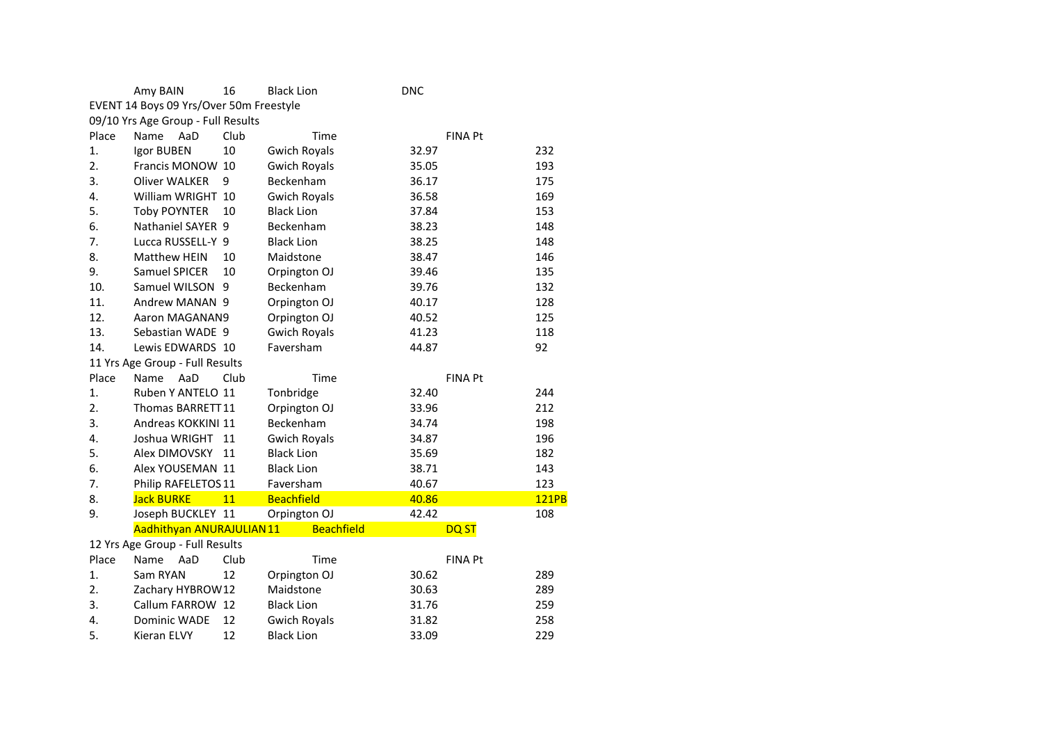|       | Amy BAIN                                | 16   | <b>Black Lion</b>   | <b>DNC</b> |                |              |
|-------|-----------------------------------------|------|---------------------|------------|----------------|--------------|
|       | EVENT 14 Boys 09 Yrs/Over 50m Freestyle |      |                     |            |                |              |
|       | 09/10 Yrs Age Group - Full Results      |      |                     |            |                |              |
| Place | Name<br>AaD                             | Club | Time                |            | <b>FINA Pt</b> |              |
| 1.    | Igor BUBEN                              | 10   | <b>Gwich Royals</b> | 32.97      |                | 232          |
| 2.    | Francis MONOW 10                        |      | <b>Gwich Royals</b> | 35.05      |                | 193          |
| 3.    | <b>Oliver WALKER</b>                    | 9    | Beckenham           | 36.17      |                | 175          |
| 4.    | William WRIGHT 10                       |      | <b>Gwich Royals</b> | 36.58      |                | 169          |
| 5.    | <b>Toby POYNTER</b>                     | 10   | <b>Black Lion</b>   | 37.84      |                | 153          |
| 6.    | Nathaniel SAYER 9                       |      | Beckenham           | 38.23      |                | 148          |
| 7.    | Lucca RUSSELL-Y 9                       |      | <b>Black Lion</b>   | 38.25      |                | 148          |
| 8.    | <b>Matthew HEIN</b>                     | 10   | Maidstone           | 38.47      |                | 146          |
| 9.    | Samuel SPICER                           | 10   | Orpington OJ        | 39.46      |                | 135          |
| 10.   | Samuel WILSON 9                         |      | Beckenham           | 39.76      |                | 132          |
| 11.   | Andrew MANAN 9                          |      | Orpington OJ        | 40.17      |                | 128          |
| 12.   | Aaron MAGANAN9                          |      | Orpington OJ        | 40.52      |                | 125          |
| 13.   | Sebastian WADE 9                        |      | <b>Gwich Royals</b> | 41.23      |                | 118          |
| 14.   | Lewis EDWARDS 10                        |      | Faversham           | 44.87      |                | 92           |
|       | 11 Yrs Age Group - Full Results         |      |                     |            |                |              |
| Place | <b>Name</b><br>AaD                      | Club | Time                |            | <b>FINA Pt</b> |              |
| 1.    | Ruben Y ANTELO 11                       |      | Tonbridge           | 32.40      |                | 244          |
| 2.    | Thomas BARRETT11                        |      | Orpington OJ        | 33.96      |                | 212          |
| 3.    | Andreas KOKKINI 11                      |      | Beckenham           | 34.74      |                | 198          |
| 4.    | Joshua WRIGHT                           | 11   | <b>Gwich Royals</b> | 34.87      |                | 196          |
| 5.    | Alex DIMOVSKY                           | 11   | <b>Black Lion</b>   | 35.69      |                | 182          |
| 6.    | Alex YOUSEMAN 11                        |      | <b>Black Lion</b>   | 38.71      |                | 143          |
| 7.    | Philip RAFELETOS 11                     |      | Faversham           | 40.67      |                | 123          |
| 8.    | <b>Jack BURKE</b>                       | 11   | <b>Beachfield</b>   | 40.86      |                | <b>121PB</b> |
| 9.    | Joseph BUCKLEY 11                       |      | Orpington OJ        | 42.42      |                | 108          |
|       | Aadhithyan ANURAJULIAN 11               |      | <b>Beachfield</b>   |            | <b>DQST</b>    |              |
|       | 12 Yrs Age Group - Full Results         |      |                     |            |                |              |
| Place | Name<br>AaD                             | Club | Time                |            | <b>FINA Pt</b> |              |
| 1.    | Sam RYAN                                | 12   | Orpington OJ        | 30.62      |                | 289          |
| 2.    | Zachary HYBROW12                        |      | Maidstone           | 30.63      |                | 289          |
| 3.    | Callum FARROW 12                        |      | <b>Black Lion</b>   | 31.76      |                | 259          |
| 4.    | Dominic WADE                            | 12   | <b>Gwich Royals</b> | 31.82      |                | 258          |
| 5.    | Kieran ELVY                             | 12   | <b>Black Lion</b>   | 33.09      |                | 229          |